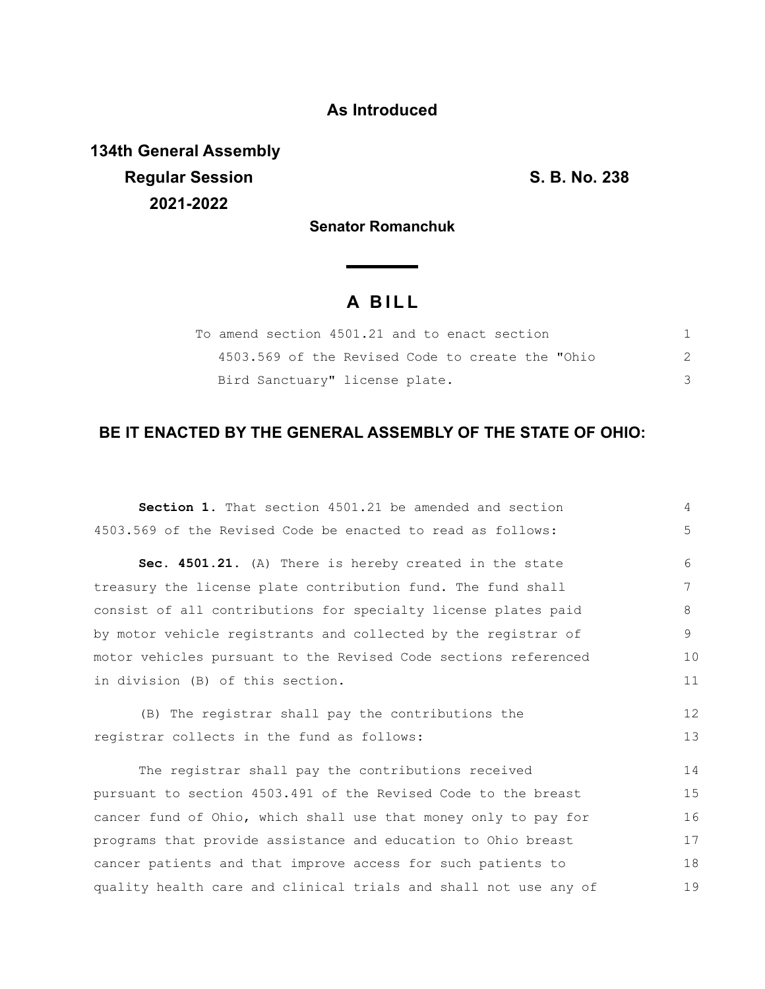## **As Introduced**

**134th General Assembly Regular Session S. B. No. 238 2021-2022**

**Senator Romanchuk**

**Service State** 

# **A B I L L**

| To amend section 4501.21 and to enact section    |   |
|--------------------------------------------------|---|
| 4503.569 of the Revised Code to create the "Ohio | 2 |
| Bird Sanctuary" license plate.                   |   |

### **BE IT ENACTED BY THE GENERAL ASSEMBLY OF THE STATE OF OHIO:**

| Section 1. That section 4501.21 be amended and section           | 4  |
|------------------------------------------------------------------|----|
| 4503.569 of the Revised Code be enacted to read as follows:      | 5  |
| Sec. 4501.21. (A) There is hereby created in the state           | 6  |
| treasury the license plate contribution fund. The fund shall     | 7  |
| consist of all contributions for specialty license plates paid   | 8  |
| by motor vehicle registrants and collected by the registrar of   | 9  |
| motor vehicles pursuant to the Revised Code sections referenced  | 10 |
| in division (B) of this section.                                 |    |
| (B) The registrar shall pay the contributions the                | 12 |
| registrar collects in the fund as follows:                       | 13 |
| The registrar shall pay the contributions received               | 14 |
| pursuant to section 4503.491 of the Revised Code to the breast   | 15 |
| cancer fund of Ohio, which shall use that money only to pay for  | 16 |
| programs that provide assistance and education to Ohio breast    | 17 |
|                                                                  |    |
| cancer patients and that improve access for such patients to     | 18 |
| quality health care and clinical trials and shall not use any of | 19 |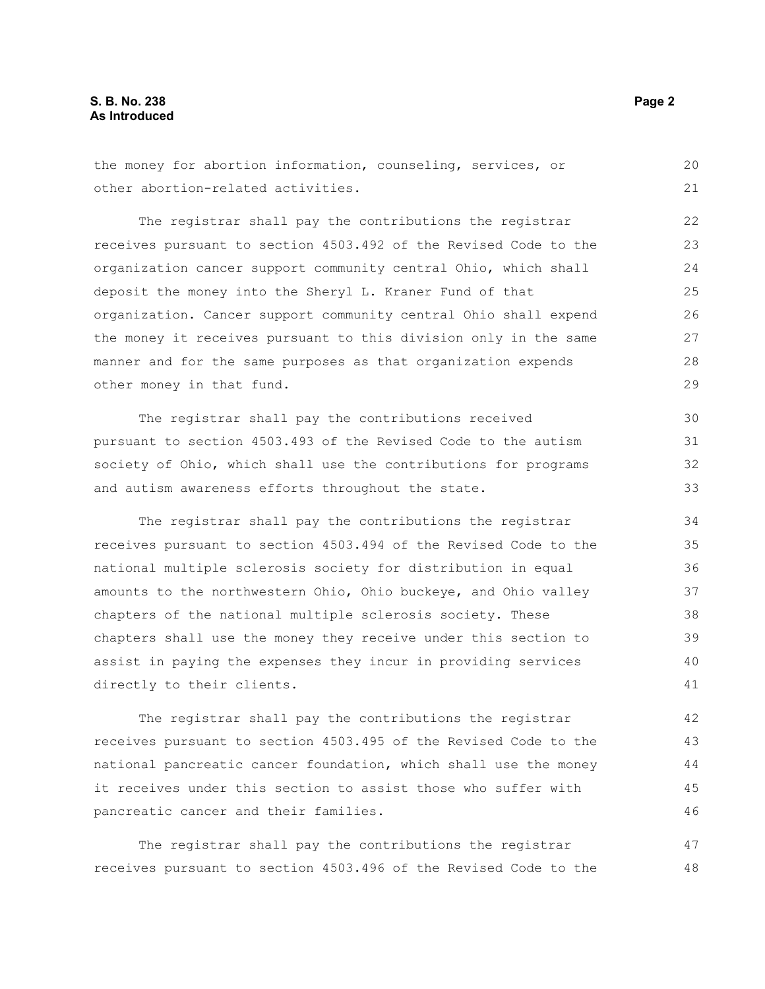the money for abortion information, counseling, services, or other abortion-related activities. The registrar shall pay the contributions the registrar receives pursuant to section 4503.492 of the Revised Code to the organization cancer support community central Ohio, which shall deposit the money into the Sheryl L. Kraner Fund of that organization. Cancer support community central Ohio shall expend the money it receives pursuant to this division only in the same manner and for the same purposes as that organization expends other money in that fund. The registrar shall pay the contributions received pursuant to section 4503.493 of the Revised Code to the autism society of Ohio, which shall use the contributions for programs and autism awareness efforts throughout the state. The registrar shall pay the contributions the registrar receives pursuant to section 4503.494 of the Revised Code to the national multiple sclerosis society for distribution in equal amounts to the northwestern Ohio, Ohio buckeye, and Ohio valley 20 21 22 23 24 25 26 27 28 29 30 31 32 33 34 35 36 37

chapters of the national multiple sclerosis society. These chapters shall use the money they receive under this section to assist in paying the expenses they incur in providing services directly to their clients. 38 39 40 41

The registrar shall pay the contributions the registrar receives pursuant to section 4503.495 of the Revised Code to the national pancreatic cancer foundation, which shall use the money it receives under this section to assist those who suffer with pancreatic cancer and their families. 42 43 44 45 46

The registrar shall pay the contributions the registrar receives pursuant to section 4503.496 of the Revised Code to the 47 48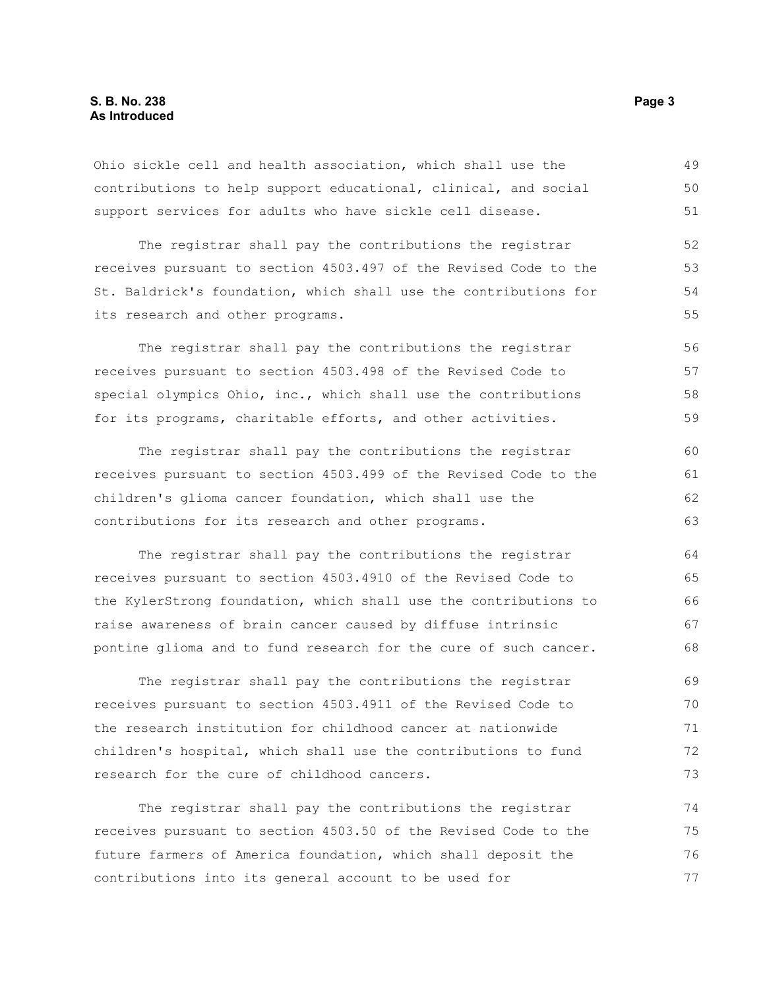#### **S. B. No. 238** Page 3 **As Introduced**

Ohio sickle cell and health association, which shall use the contributions to help support educational, clinical, and social support services for adults who have sickle cell disease.

The registrar shall pay the contributions the registrar receives pursuant to section 4503.497 of the Revised Code to the St. Baldrick's foundation, which shall use the contributions for its research and other programs. 52 53 54 55

The registrar shall pay the contributions the registrar receives pursuant to section 4503.498 of the Revised Code to special olympics Ohio, inc., which shall use the contributions for its programs, charitable efforts, and other activities. 56 57 58 59

The registrar shall pay the contributions the registrar receives pursuant to section 4503.499 of the Revised Code to the children's glioma cancer foundation, which shall use the contributions for its research and other programs. 60 61 62 63

The registrar shall pay the contributions the registrar receives pursuant to section 4503.4910 of the Revised Code to the KylerStrong foundation, which shall use the contributions to raise awareness of brain cancer caused by diffuse intrinsic pontine glioma and to fund research for the cure of such cancer. 64 65 66 67 68

The registrar shall pay the contributions the registrar receives pursuant to section 4503.4911 of the Revised Code to the research institution for childhood cancer at nationwide children's hospital, which shall use the contributions to fund research for the cure of childhood cancers. 69 70 71 72 73

The registrar shall pay the contributions the registrar receives pursuant to section 4503.50 of the Revised Code to the future farmers of America foundation, which shall deposit the contributions into its general account to be used for 74 75 76 77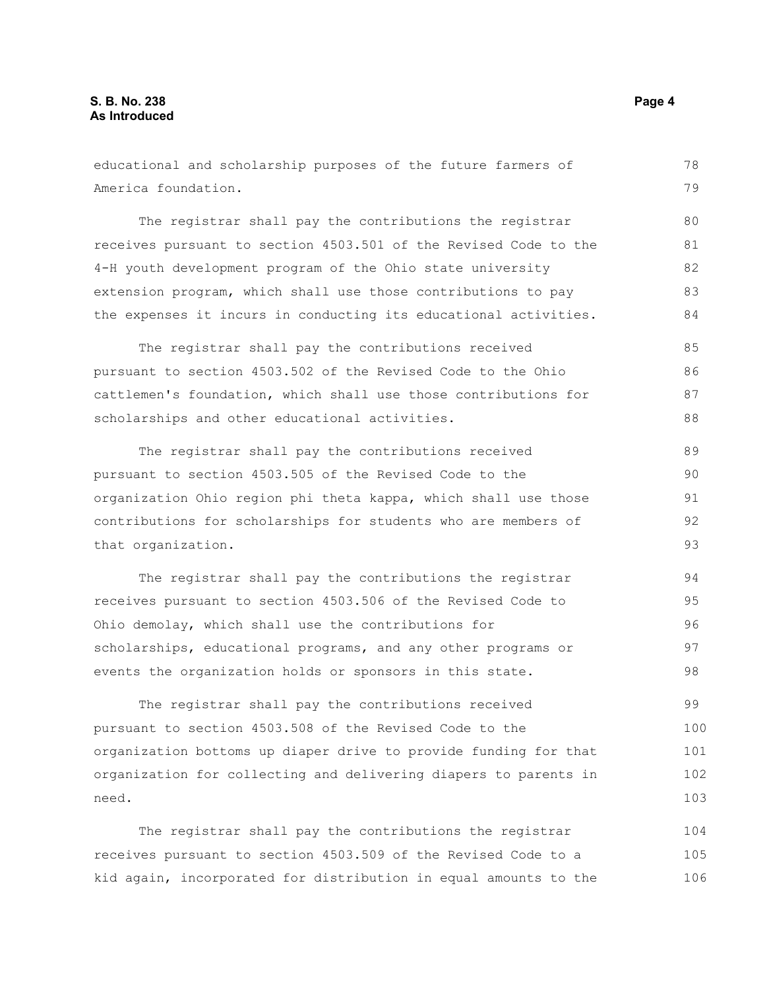educational and scholarship purposes of the future farmers of America foundation. The registrar shall pay the contributions the registrar receives pursuant to section 4503.501 of the Revised Code to the 4-H youth development program of the Ohio state university extension program, which shall use those contributions to pay the expenses it incurs in conducting its educational activities. The registrar shall pay the contributions received pursuant to section 4503.502 of the Revised Code to the Ohio cattlemen's foundation, which shall use those contributions for scholarships and other educational activities. The registrar shall pay the contributions received pursuant to section 4503.505 of the Revised Code to the organization Ohio region phi theta kappa, which shall use those contributions for scholarships for students who are members of that organization. The registrar shall pay the contributions the registrar receives pursuant to section 4503.506 of the Revised Code to Ohio demolay, which shall use the contributions for scholarships, educational programs, and any other programs or events the organization holds or sponsors in this state. The registrar shall pay the contributions received 78 79 80 81 82 83 84 85 86 87 88 89 90 91 92 93 94 95 96 97 98 99

pursuant to section 4503.508 of the Revised Code to the organization bottoms up diaper drive to provide funding for that organization for collecting and delivering diapers to parents in need. 100 101 102 103

The registrar shall pay the contributions the registrar receives pursuant to section 4503.509 of the Revised Code to a kid again, incorporated for distribution in equal amounts to the 104 105 106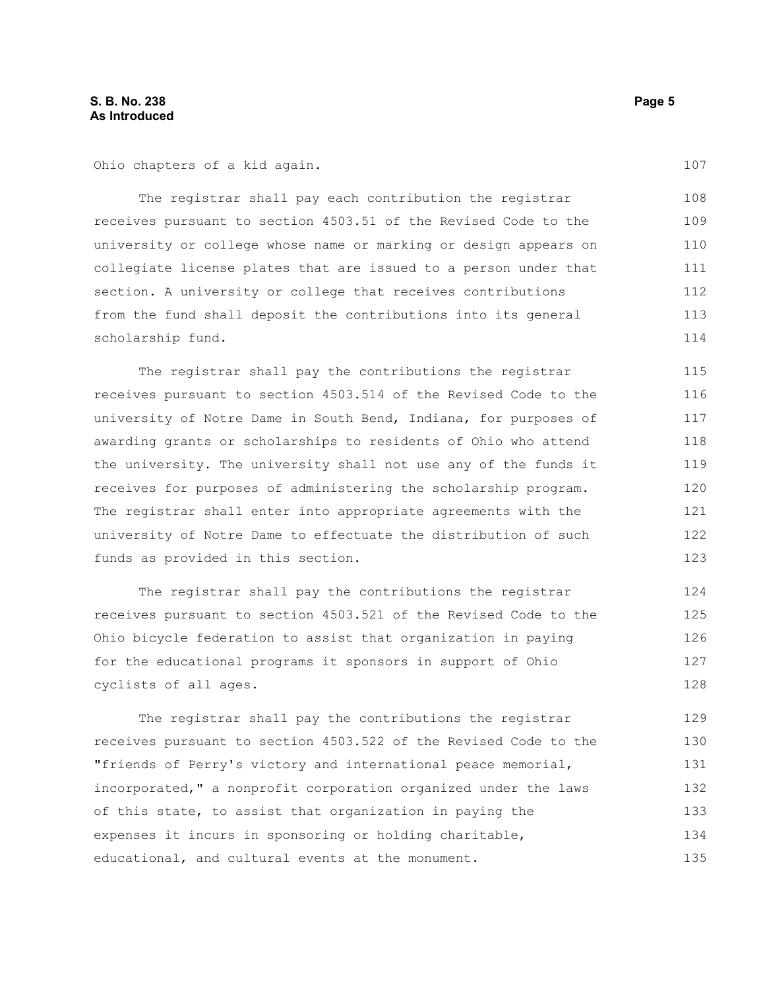Ohio chapters of a kid again.

The registrar shall pay each contribution the registrar receives pursuant to section 4503.51 of the Revised Code to the university or college whose name or marking or design appears on collegiate license plates that are issued to a person under that section. A university or college that receives contributions from the fund shall deposit the contributions into its general scholarship fund. 108 109 110 111 112 113 114

The registrar shall pay the contributions the registrar receives pursuant to section 4503.514 of the Revised Code to the university of Notre Dame in South Bend, Indiana, for purposes of awarding grants or scholarships to residents of Ohio who attend the university. The university shall not use any of the funds it receives for purposes of administering the scholarship program. The registrar shall enter into appropriate agreements with the university of Notre Dame to effectuate the distribution of such funds as provided in this section.

The registrar shall pay the contributions the registrar receives pursuant to section 4503.521 of the Revised Code to the Ohio bicycle federation to assist that organization in paying for the educational programs it sponsors in support of Ohio cyclists of all ages. 124 125 126

The registrar shall pay the contributions the registrar receives pursuant to section 4503.522 of the Revised Code to the "friends of Perry's victory and international peace memorial, incorporated," a nonprofit corporation organized under the laws of this state, to assist that organization in paying the expenses it incurs in sponsoring or holding charitable, educational, and cultural events at the monument. 129 130 131 132 133 134 135

107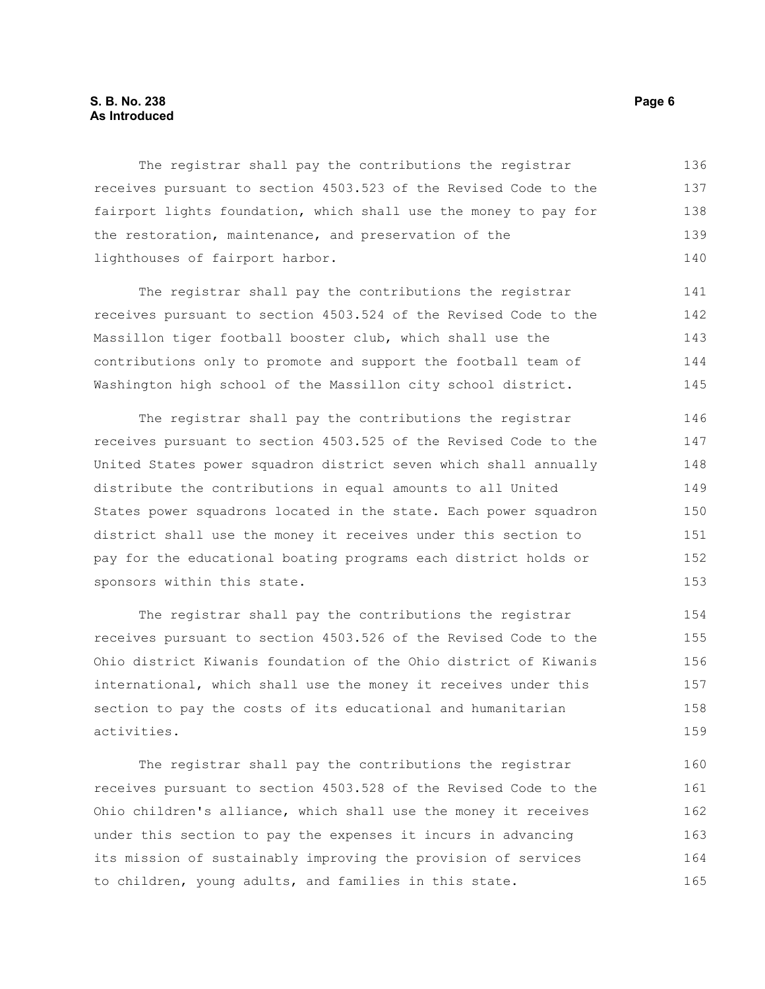#### **S. B. No. 238** Page 6 **As Introduced**

The registrar shall pay the contributions the registrar receives pursuant to section 4503.523 of the Revised Code to the fairport lights foundation, which shall use the money to pay for the restoration, maintenance, and preservation of the lighthouses of fairport harbor. 136 137 138 139 140

The registrar shall pay the contributions the registrar receives pursuant to section 4503.524 of the Revised Code to the Massillon tiger football booster club, which shall use the contributions only to promote and support the football team of Washington high school of the Massillon city school district.

The registrar shall pay the contributions the registrar receives pursuant to section 4503.525 of the Revised Code to the United States power squadron district seven which shall annually distribute the contributions in equal amounts to all United States power squadrons located in the state. Each power squadron district shall use the money it receives under this section to pay for the educational boating programs each district holds or sponsors within this state. 146 147 148 149 150 151 152 153

The registrar shall pay the contributions the registrar receives pursuant to section 4503.526 of the Revised Code to the Ohio district Kiwanis foundation of the Ohio district of Kiwanis international, which shall use the money it receives under this section to pay the costs of its educational and humanitarian activities. 154 155 156 157 158 159

The registrar shall pay the contributions the registrar receives pursuant to section 4503.528 of the Revised Code to the Ohio children's alliance, which shall use the money it receives under this section to pay the expenses it incurs in advancing its mission of sustainably improving the provision of services to children, young adults, and families in this state. 160 161 162 163 164 165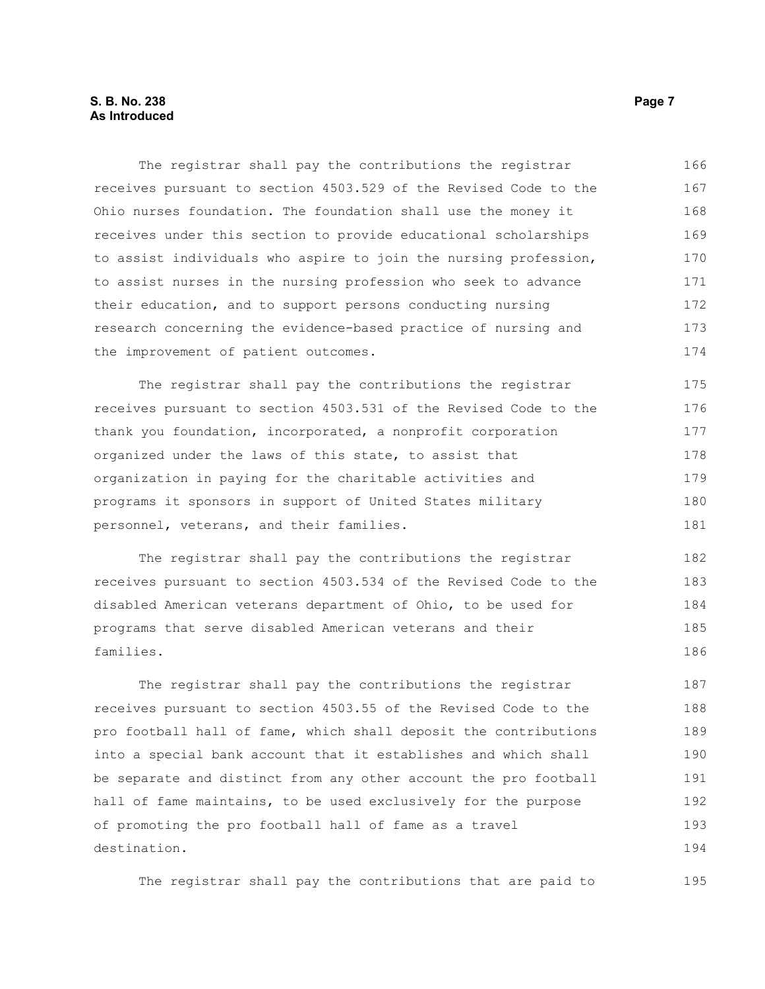#### **S. B. No. 238** Page 7 **As Introduced**

The registrar shall pay the contributions the registrar receives pursuant to section 4503.529 of the Revised Code to the Ohio nurses foundation. The foundation shall use the money it receives under this section to provide educational scholarships to assist individuals who aspire to join the nursing profession, to assist nurses in the nursing profession who seek to advance their education, and to support persons conducting nursing research concerning the evidence-based practice of nursing and the improvement of patient outcomes. 166 167 168 169 170 171 172 173 174

The registrar shall pay the contributions the registrar receives pursuant to section 4503.531 of the Revised Code to the thank you foundation, incorporated, a nonprofit corporation organized under the laws of this state, to assist that organization in paying for the charitable activities and programs it sponsors in support of United States military personnel, veterans, and their families. 175 176 177 178 179 180 181

The registrar shall pay the contributions the registrar receives pursuant to section 4503.534 of the Revised Code to the disabled American veterans department of Ohio, to be used for programs that serve disabled American veterans and their families. 182 183 184 185 186

The registrar shall pay the contributions the registrar receives pursuant to section 4503.55 of the Revised Code to the pro football hall of fame, which shall deposit the contributions into a special bank account that it establishes and which shall be separate and distinct from any other account the pro football hall of fame maintains, to be used exclusively for the purpose of promoting the pro football hall of fame as a travel destination. 187 188 189 190 191 192 193 194

The registrar shall pay the contributions that are paid to 195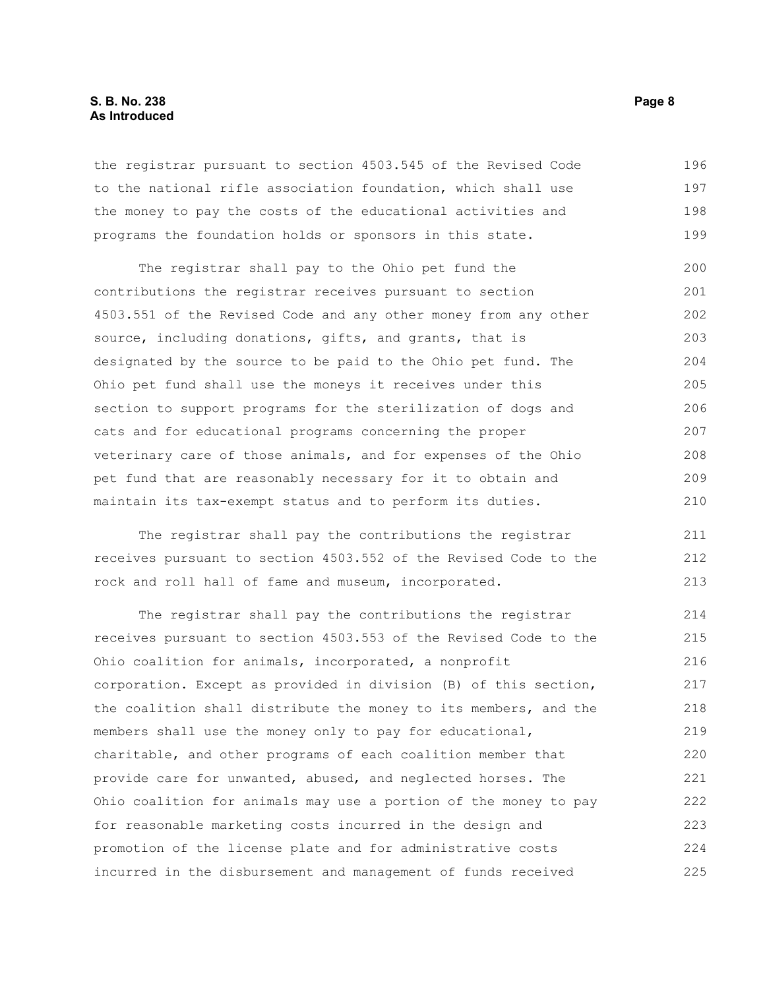#### **S. B. No. 238** Page 8 **As Introduced**

the registrar pursuant to section 4503.545 of the Revised Code to the national rifle association foundation, which shall use the money to pay the costs of the educational activities and programs the foundation holds or sponsors in this state. 196 197 198 199

The registrar shall pay to the Ohio pet fund the contributions the registrar receives pursuant to section 4503.551 of the Revised Code and any other money from any other source, including donations, gifts, and grants, that is designated by the source to be paid to the Ohio pet fund. The Ohio pet fund shall use the moneys it receives under this section to support programs for the sterilization of dogs and cats and for educational programs concerning the proper veterinary care of those animals, and for expenses of the Ohio pet fund that are reasonably necessary for it to obtain and maintain its tax-exempt status and to perform its duties. 200 201 202 203 204 205 206 207 208 209 210

The registrar shall pay the contributions the registrar receives pursuant to section 4503.552 of the Revised Code to the rock and roll hall of fame and museum, incorporated.

The registrar shall pay the contributions the registrar receives pursuant to section 4503.553 of the Revised Code to the Ohio coalition for animals, incorporated, a nonprofit corporation. Except as provided in division (B) of this section, the coalition shall distribute the money to its members, and the members shall use the money only to pay for educational, charitable, and other programs of each coalition member that provide care for unwanted, abused, and neglected horses. The Ohio coalition for animals may use a portion of the money to pay for reasonable marketing costs incurred in the design and promotion of the license plate and for administrative costs incurred in the disbursement and management of funds received 214 215 216 217 218 219 220 221 222 223 224 225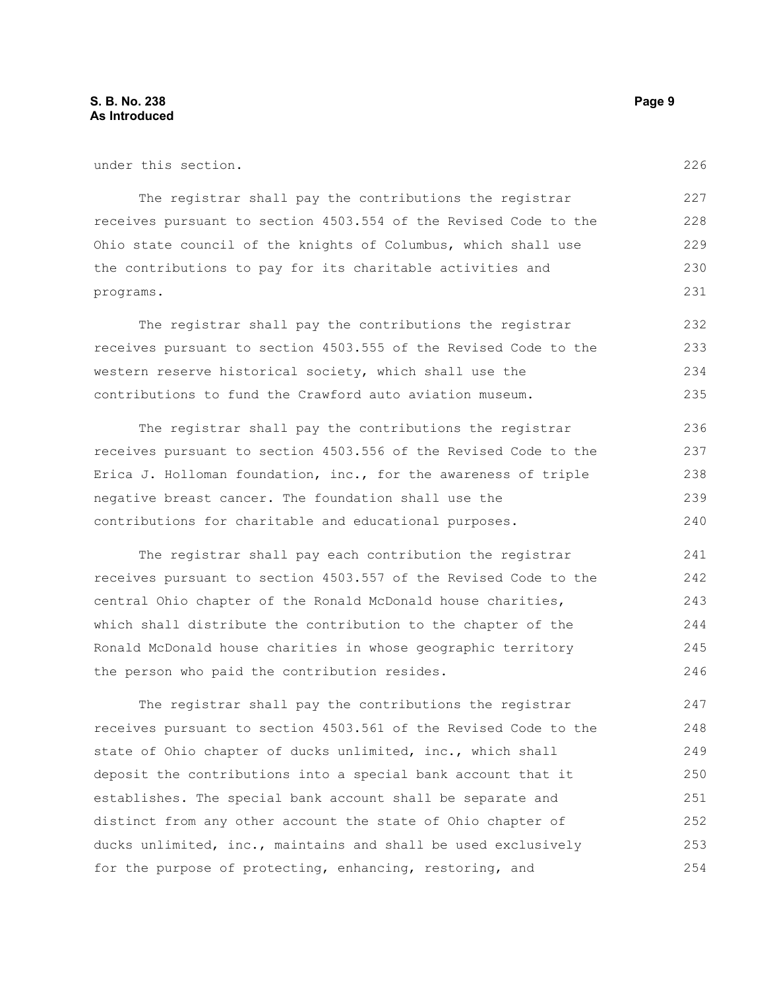under this section.

The registrar shall pay the contributions the registrar receives pursuant to section 4503.554 of the Revised Code to the Ohio state council of the knights of Columbus, which shall use the contributions to pay for its charitable activities and programs.

The registrar shall pay the contributions the registrar receives pursuant to section 4503.555 of the Revised Code to the western reserve historical society, which shall use the contributions to fund the Crawford auto aviation museum. 232 233 234 235

The registrar shall pay the contributions the registrar receives pursuant to section 4503.556 of the Revised Code to the Erica J. Holloman foundation, inc., for the awareness of triple negative breast cancer. The foundation shall use the contributions for charitable and educational purposes. 236 237 238 239 240

The registrar shall pay each contribution the registrar receives pursuant to section 4503.557 of the Revised Code to the central Ohio chapter of the Ronald McDonald house charities, which shall distribute the contribution to the chapter of the Ronald McDonald house charities in whose geographic territory the person who paid the contribution resides. 241 242 243 244 245 246

The registrar shall pay the contributions the registrar receives pursuant to section 4503.561 of the Revised Code to the state of Ohio chapter of ducks unlimited, inc., which shall deposit the contributions into a special bank account that it establishes. The special bank account shall be separate and distinct from any other account the state of Ohio chapter of ducks unlimited, inc., maintains and shall be used exclusively for the purpose of protecting, enhancing, restoring, and 247 248 249 250 251 252 253 254

226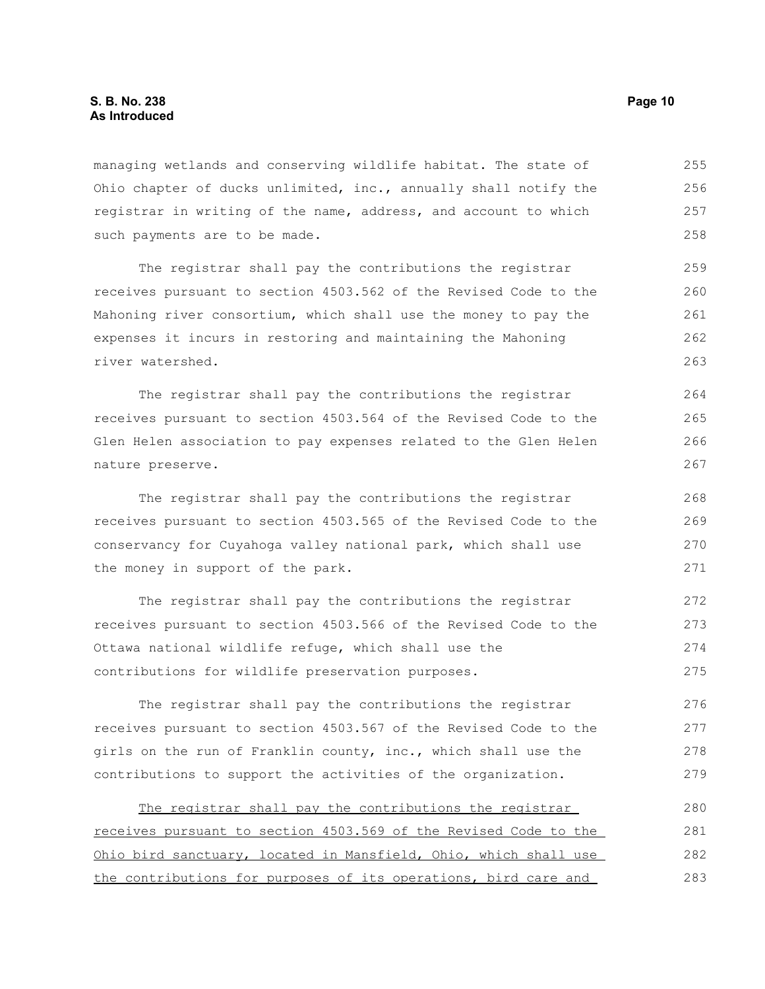managing wetlands and conserving wildlife habitat. The state of Ohio chapter of ducks unlimited, inc., annually shall notify the registrar in writing of the name, address, and account to which such payments are to be made. 255 256 257 258

The registrar shall pay the contributions the registrar receives pursuant to section 4503.562 of the Revised Code to the Mahoning river consortium, which shall use the money to pay the expenses it incurs in restoring and maintaining the Mahoning river watershed.

The registrar shall pay the contributions the registrar receives pursuant to section 4503.564 of the Revised Code to the Glen Helen association to pay expenses related to the Glen Helen nature preserve.

The registrar shall pay the contributions the registrar receives pursuant to section 4503.565 of the Revised Code to the conservancy for Cuyahoga valley national park, which shall use the money in support of the park.

The registrar shall pay the contributions the registrar receives pursuant to section 4503.566 of the Revised Code to the Ottawa national wildlife refuge, which shall use the contributions for wildlife preservation purposes. 272 273 274 275

The registrar shall pay the contributions the registrar receives pursuant to section 4503.567 of the Revised Code to the girls on the run of Franklin county, inc., which shall use the contributions to support the activities of the organization. 276 277 278 279

The registrar shall pay the contributions the registrar receives pursuant to section 4503.569 of the Revised Code to the Ohio bird sanctuary, located in Mansfield, Ohio, which shall use the contributions for purposes of its operations, bird care and 280 281 282 283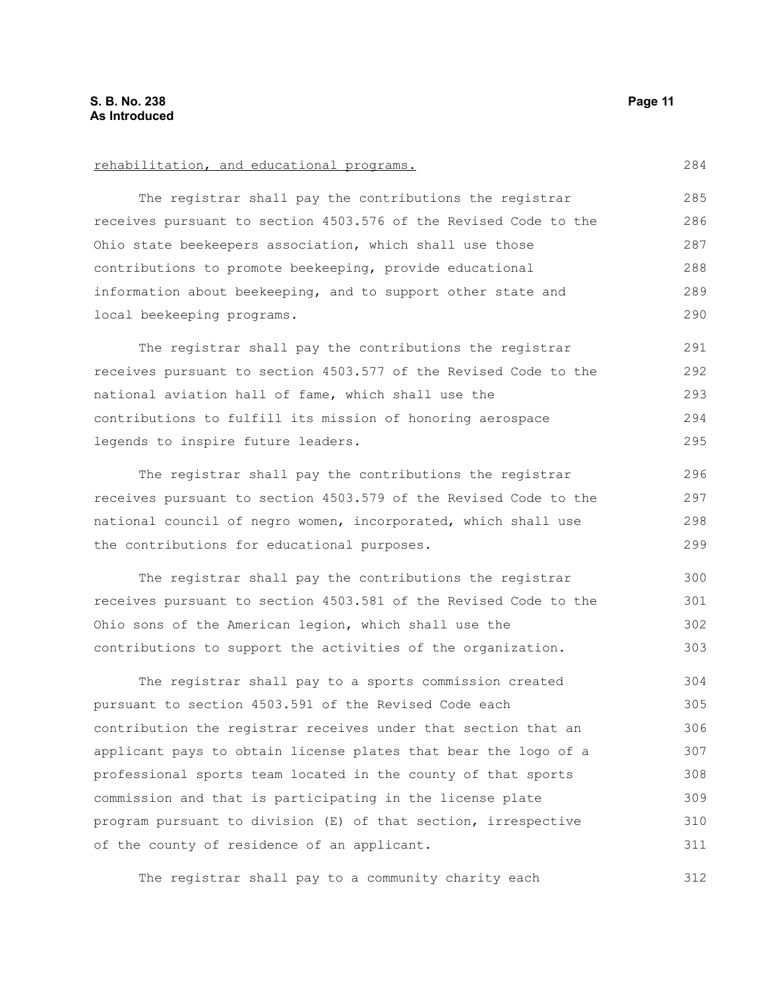| rehabilitation, and educational programs.                        |
|------------------------------------------------------------------|
| The registrar shall pay the contributions the registrar          |
| receives pursuant to section 4503.576 of the Revised Code to the |
| Ohio state beekeepers association, which shall use those         |
| contributions to promote beekeeping, provide educational         |
| information about beekeeping, and to support other state and     |
| local beekeeping programs.                                       |
| The registrar shall pay the contributions the registrar          |
| receives pursuant to section 4503.577 of the Revised Code to the |

national aviation hall of fame, which shall use the contributions to fulfill its mission of honoring aerospace legends to inspire future leaders. 292 293 294 295

The registrar shall pay the contributions the registrar receives pursuant to section 4503.579 of the Revised Code to the national council of negro women, incorporated, which shall use the contributions for educational purposes. 296 297 298 299

The registrar shall pay the contributions the registrar receives pursuant to section 4503.581 of the Revised Code to the Ohio sons of the American legion, which shall use the contributions to support the activities of the organization. 300 301 302 303

The registrar shall pay to a sports commission created pursuant to section 4503.591 of the Revised Code each contribution the registrar receives under that section that an applicant pays to obtain license plates that bear the logo of a professional sports team located in the county of that sports commission and that is participating in the license plate program pursuant to division (E) of that section, irrespective of the county of residence of an applicant. 304 305 306 307 308 309 310 311

The registrar shall pay to a community charity each 312

284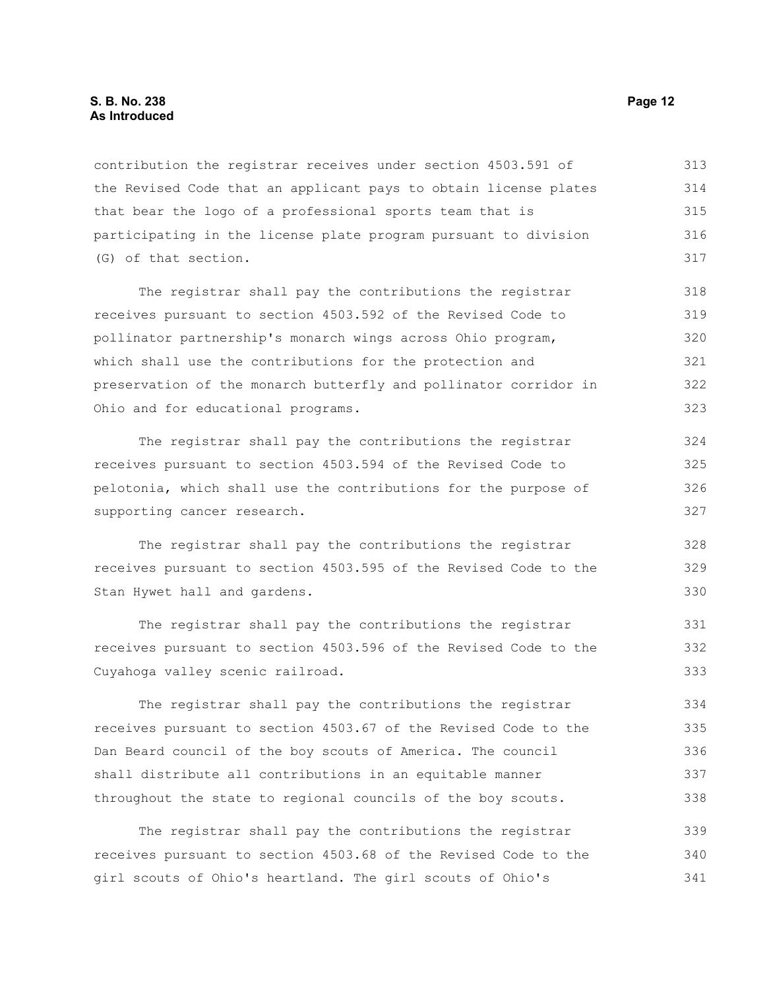#### **S. B. No. 238 Page 12 As Introduced**

contribution the registrar receives under section 4503.591 of the Revised Code that an applicant pays to obtain license plates that bear the logo of a professional sports team that is participating in the license plate program pursuant to division (G) of that section. 313 314 315 316 317

The registrar shall pay the contributions the registrar receives pursuant to section 4503.592 of the Revised Code to pollinator partnership's monarch wings across Ohio program, which shall use the contributions for the protection and preservation of the monarch butterfly and pollinator corridor in Ohio and for educational programs. 318 319 320 321 322 323

The registrar shall pay the contributions the registrar receives pursuant to section 4503.594 of the Revised Code to pelotonia, which shall use the contributions for the purpose of supporting cancer research.

The registrar shall pay the contributions the registrar receives pursuant to section 4503.595 of the Revised Code to the Stan Hywet hall and gardens.

The registrar shall pay the contributions the registrar receives pursuant to section 4503.596 of the Revised Code to the Cuyahoga valley scenic railroad.

The registrar shall pay the contributions the registrar receives pursuant to section 4503.67 of the Revised Code to the Dan Beard council of the boy scouts of America. The council shall distribute all contributions in an equitable manner throughout the state to regional councils of the boy scouts. 334 335 336 337 338

The registrar shall pay the contributions the registrar receives pursuant to section 4503.68 of the Revised Code to the girl scouts of Ohio's heartland. The girl scouts of Ohio's 339 340 341

328 329 330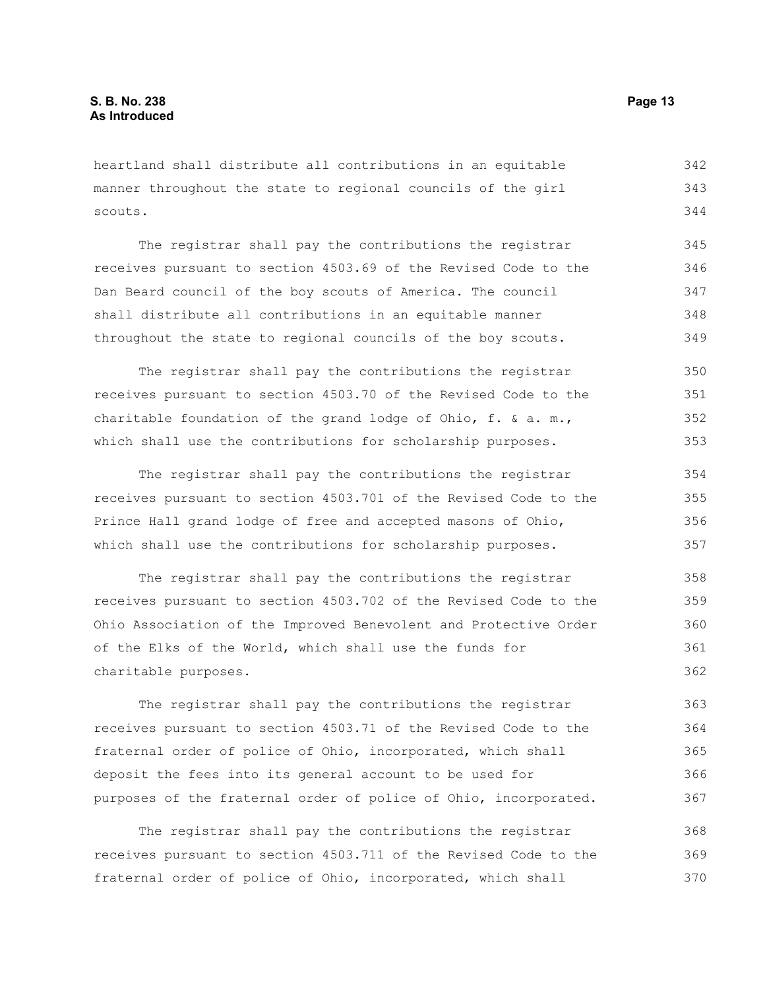heartland shall distribute all contributions in an equitable manner throughout the state to regional councils of the girl scouts. 342 343 344

The registrar shall pay the contributions the registrar receives pursuant to section 4503.69 of the Revised Code to the Dan Beard council of the boy scouts of America. The council shall distribute all contributions in an equitable manner throughout the state to regional councils of the boy scouts. 345 346 347 348 349

The registrar shall pay the contributions the registrar receives pursuant to section 4503.70 of the Revised Code to the charitable foundation of the grand lodge of Ohio, f. & a. m., which shall use the contributions for scholarship purposes. 350 351 352 353

The registrar shall pay the contributions the registrar receives pursuant to section 4503.701 of the Revised Code to the Prince Hall grand lodge of free and accepted masons of Ohio, which shall use the contributions for scholarship purposes. 354 355 356 357

The registrar shall pay the contributions the registrar receives pursuant to section 4503.702 of the Revised Code to the Ohio Association of the Improved Benevolent and Protective Order of the Elks of the World, which shall use the funds for charitable purposes. 358 359 360 361 362

The registrar shall pay the contributions the registrar receives pursuant to section 4503.71 of the Revised Code to the fraternal order of police of Ohio, incorporated, which shall deposit the fees into its general account to be used for purposes of the fraternal order of police of Ohio, incorporated. 363 364 365 366 367

The registrar shall pay the contributions the registrar receives pursuant to section 4503.711 of the Revised Code to the fraternal order of police of Ohio, incorporated, which shall 368 369 370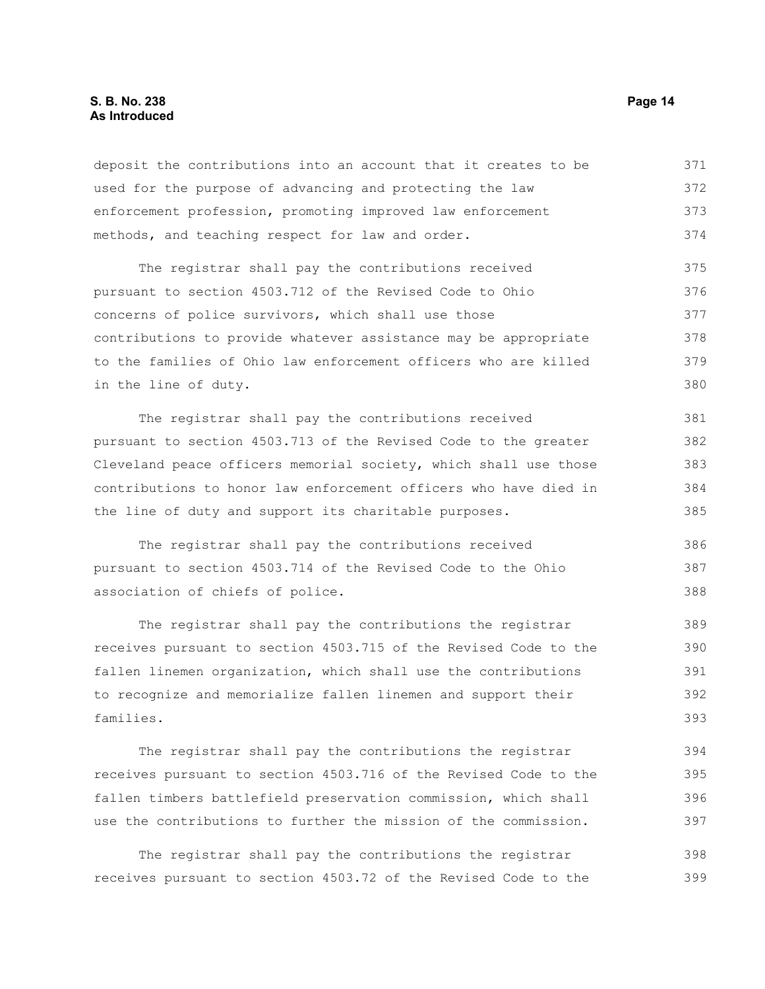#### **S. B. No. 238 Page 14 As Introduced**

deposit the contributions into an account that it creates to be used for the purpose of advancing and protecting the law enforcement profession, promoting improved law enforcement methods, and teaching respect for law and order. 371 372 373 374

The registrar shall pay the contributions received pursuant to section 4503.712 of the Revised Code to Ohio concerns of police survivors, which shall use those contributions to provide whatever assistance may be appropriate to the families of Ohio law enforcement officers who are killed in the line of duty. 375 376 377 378 379 380

The registrar shall pay the contributions received pursuant to section 4503.713 of the Revised Code to the greater Cleveland peace officers memorial society, which shall use those contributions to honor law enforcement officers who have died in the line of duty and support its charitable purposes. 381 382 383 384 385

The registrar shall pay the contributions received pursuant to section 4503.714 of the Revised Code to the Ohio association of chiefs of police. 386 387 388

The registrar shall pay the contributions the registrar receives pursuant to section 4503.715 of the Revised Code to the fallen linemen organization, which shall use the contributions to recognize and memorialize fallen linemen and support their families. 389 390 391 392 393

The registrar shall pay the contributions the registrar receives pursuant to section 4503.716 of the Revised Code to the fallen timbers battlefield preservation commission, which shall use the contributions to further the mission of the commission. 394 395 396 397

The registrar shall pay the contributions the registrar receives pursuant to section 4503.72 of the Revised Code to the 398 399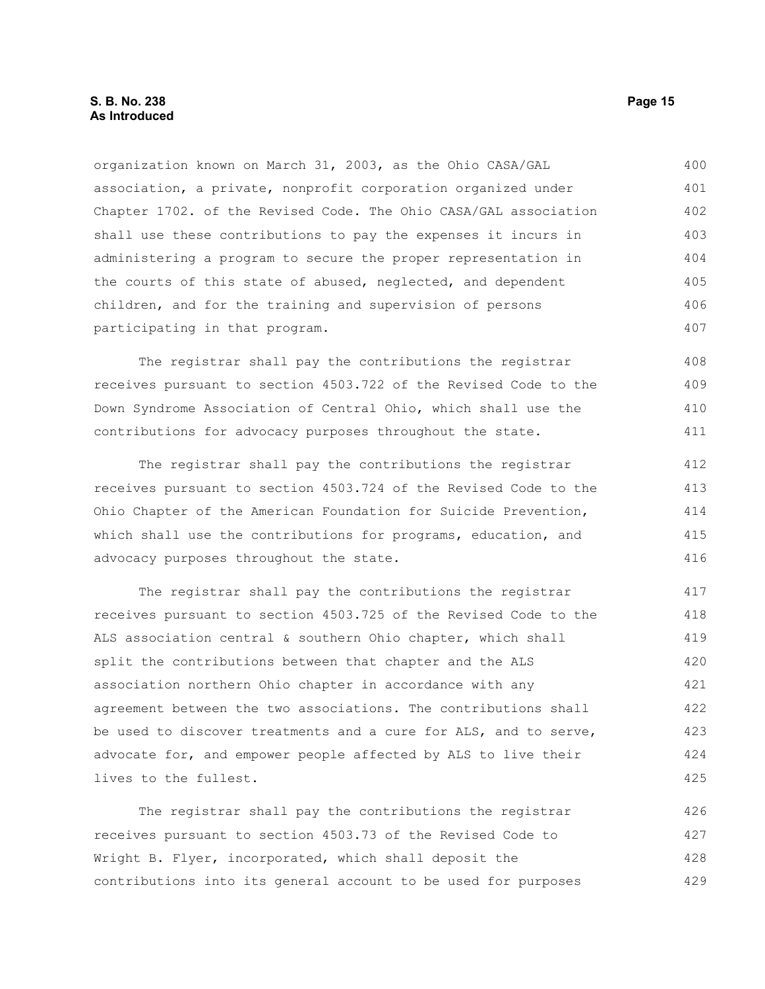organization known on March 31, 2003, as the Ohio CASA/GAL association, a private, nonprofit corporation organized under Chapter 1702. of the Revised Code. The Ohio CASA/GAL association shall use these contributions to pay the expenses it incurs in administering a program to secure the proper representation in the courts of this state of abused, neglected, and dependent children, and for the training and supervision of persons participating in that program. 400 401 402 403 404 405 406 407

The registrar shall pay the contributions the registrar receives pursuant to section 4503.722 of the Revised Code to the Down Syndrome Association of Central Ohio, which shall use the contributions for advocacy purposes throughout the state.

The registrar shall pay the contributions the registrar receives pursuant to section 4503.724 of the Revised Code to the Ohio Chapter of the American Foundation for Suicide Prevention, which shall use the contributions for programs, education, and advocacy purposes throughout the state.

The registrar shall pay the contributions the registrar receives pursuant to section 4503.725 of the Revised Code to the ALS association central & southern Ohio chapter, which shall split the contributions between that chapter and the ALS association northern Ohio chapter in accordance with any agreement between the two associations. The contributions shall be used to discover treatments and a cure for ALS, and to serve, advocate for, and empower people affected by ALS to live their lives to the fullest. 417 418 419 420 421 422 423 424 425

The registrar shall pay the contributions the registrar receives pursuant to section 4503.73 of the Revised Code to Wright B. Flyer, incorporated, which shall deposit the contributions into its general account to be used for purposes 426 427 428 429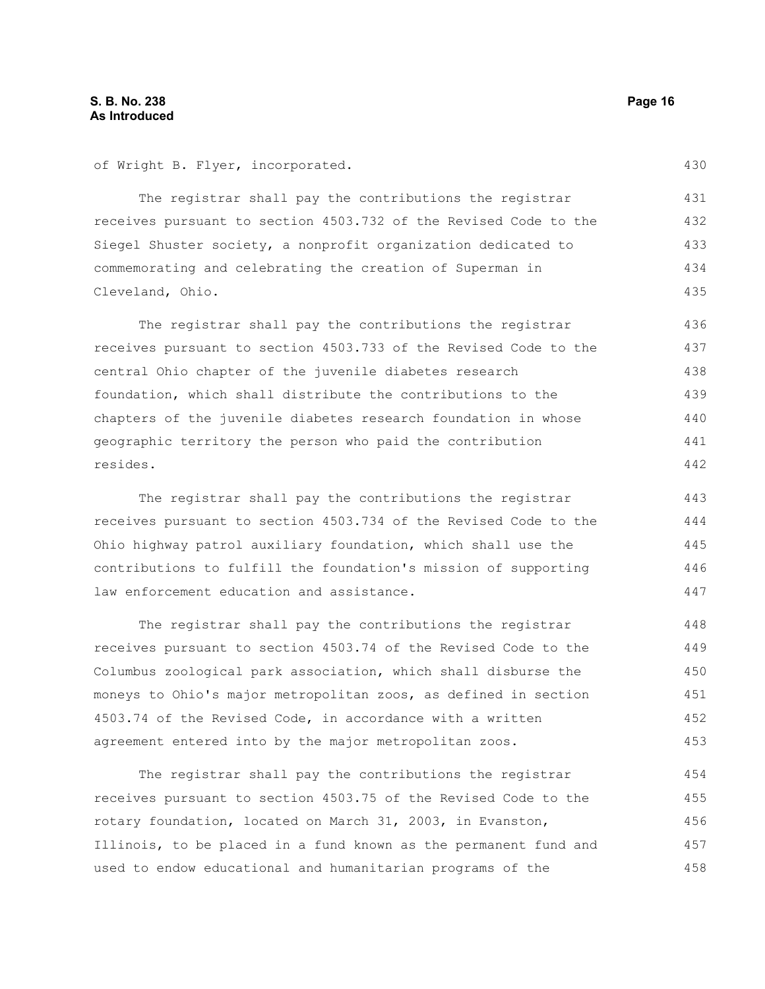of Wright B. Flyer, incorporated.

The registrar shall pay the contributions the registrar receives pursuant to section 4503.732 of the Revised Code to the Siegel Shuster society, a nonprofit organization dedicated to commemorating and celebrating the creation of Superman in Cleveland, Ohio. 431 432 433 434 435

The registrar shall pay the contributions the registrar receives pursuant to section 4503.733 of the Revised Code to the central Ohio chapter of the juvenile diabetes research foundation, which shall distribute the contributions to the chapters of the juvenile diabetes research foundation in whose geographic territory the person who paid the contribution resides. 436 437 438 439 440 441 442

The registrar shall pay the contributions the registrar receives pursuant to section 4503.734 of the Revised Code to the Ohio highway patrol auxiliary foundation, which shall use the contributions to fulfill the foundation's mission of supporting law enforcement education and assistance.

The registrar shall pay the contributions the registrar receives pursuant to section 4503.74 of the Revised Code to the Columbus zoological park association, which shall disburse the moneys to Ohio's major metropolitan zoos, as defined in section 4503.74 of the Revised Code, in accordance with a written agreement entered into by the major metropolitan zoos. 448 449 450 451 452 453

The registrar shall pay the contributions the registrar receives pursuant to section 4503.75 of the Revised Code to the rotary foundation, located on March 31, 2003, in Evanston, Illinois, to be placed in a fund known as the permanent fund and used to endow educational and humanitarian programs of the 454 455 456 457 458

430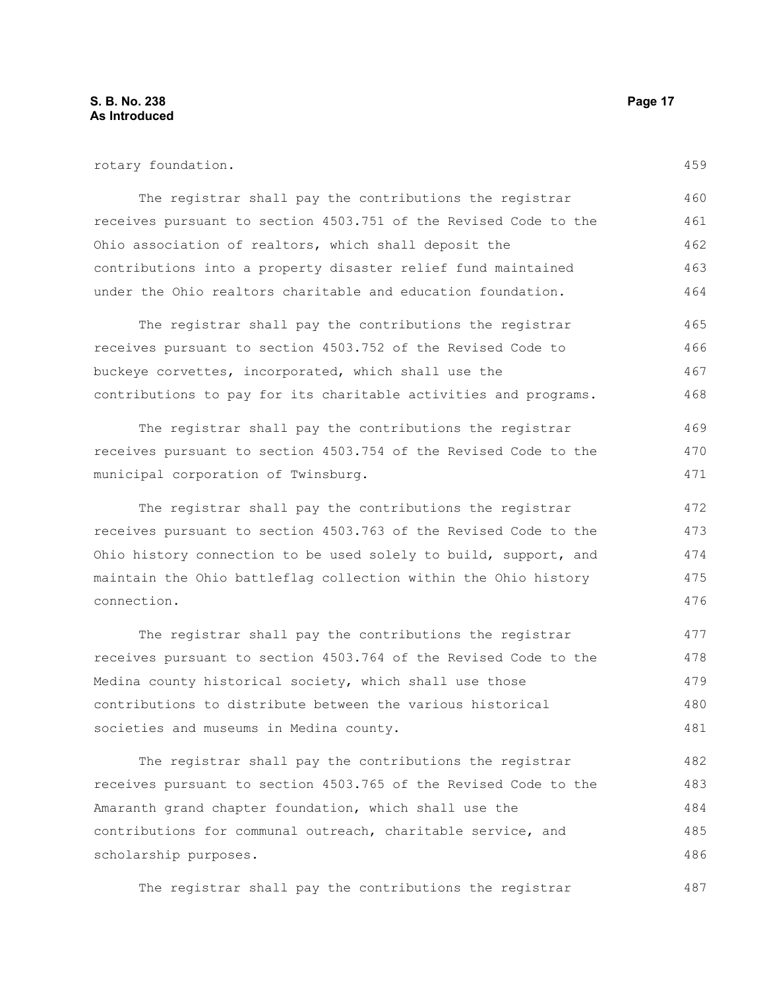rotary foundation.

The registrar shall pay the contributions the registrar receives pursuant to section 4503.751 of the Revised Code to the Ohio association of realtors, which shall deposit the contributions into a property disaster relief fund maintained under the Ohio realtors charitable and education foundation. 460 461 462 463 464

The registrar shall pay the contributions the registrar receives pursuant to section 4503.752 of the Revised Code to buckeye corvettes, incorporated, which shall use the contributions to pay for its charitable activities and programs. 465 466 467 468

The registrar shall pay the contributions the registrar receives pursuant to section 4503.754 of the Revised Code to the municipal corporation of Twinsburg.

The registrar shall pay the contributions the registrar receives pursuant to section 4503.763 of the Revised Code to the Ohio history connection to be used solely to build, support, and maintain the Ohio battleflag collection within the Ohio history connection.

The registrar shall pay the contributions the registrar receives pursuant to section 4503.764 of the Revised Code to the Medina county historical society, which shall use those contributions to distribute between the various historical societies and museums in Medina county. 477 478 479 480 481

The registrar shall pay the contributions the registrar receives pursuant to section 4503.765 of the Revised Code to the Amaranth grand chapter foundation, which shall use the contributions for communal outreach, charitable service, and scholarship purposes. 482 483 484 485 486

The registrar shall pay the contributions the registrar 487

459

469 470 471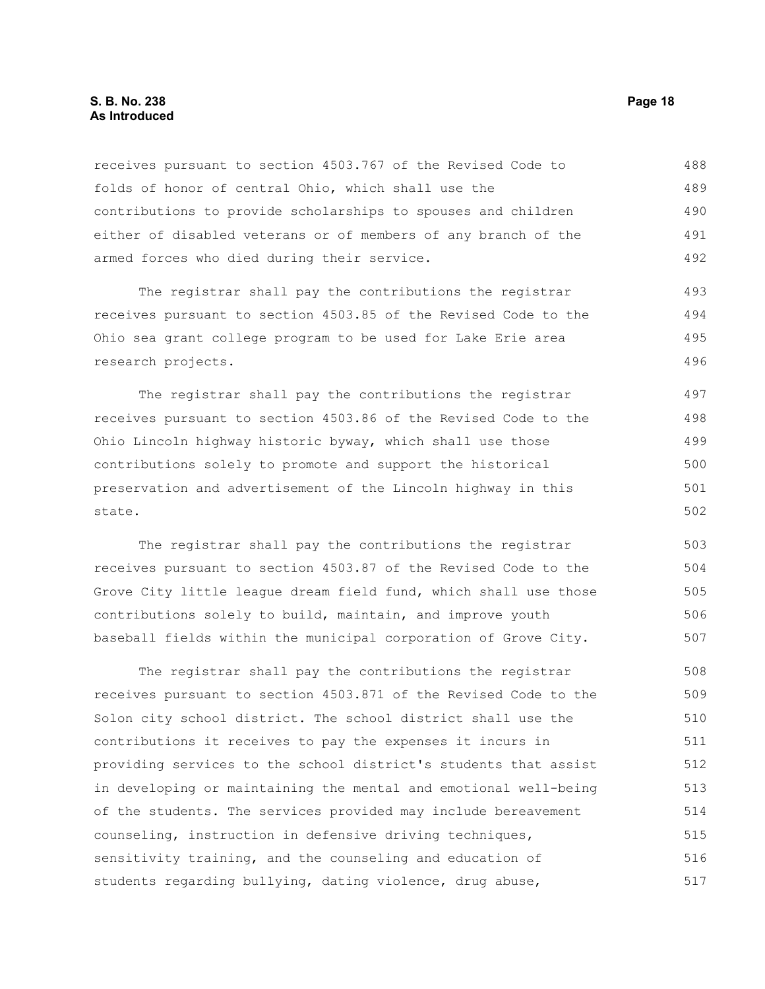#### **S. B. No. 238 Page 18 As Introduced**

receives pursuant to section 4503.767 of the Revised Code to folds of honor of central Ohio, which shall use the contributions to provide scholarships to spouses and children either of disabled veterans or of members of any branch of the armed forces who died during their service. 488 489 490 491 492

The registrar shall pay the contributions the registrar receives pursuant to section 4503.85 of the Revised Code to the Ohio sea grant college program to be used for Lake Erie area research projects.

The registrar shall pay the contributions the registrar receives pursuant to section 4503.86 of the Revised Code to the Ohio Lincoln highway historic byway, which shall use those contributions solely to promote and support the historical preservation and advertisement of the Lincoln highway in this state. 497 498 499 500 501 502

The registrar shall pay the contributions the registrar receives pursuant to section 4503.87 of the Revised Code to the Grove City little league dream field fund, which shall use those contributions solely to build, maintain, and improve youth baseball fields within the municipal corporation of Grove City. 503 504 505 506 507

The registrar shall pay the contributions the registrar receives pursuant to section 4503.871 of the Revised Code to the Solon city school district. The school district shall use the contributions it receives to pay the expenses it incurs in providing services to the school district's students that assist in developing or maintaining the mental and emotional well-being of the students. The services provided may include bereavement counseling, instruction in defensive driving techniques, sensitivity training, and the counseling and education of students regarding bullying, dating violence, drug abuse, 508 509 510 511 512 513 514 515 516 517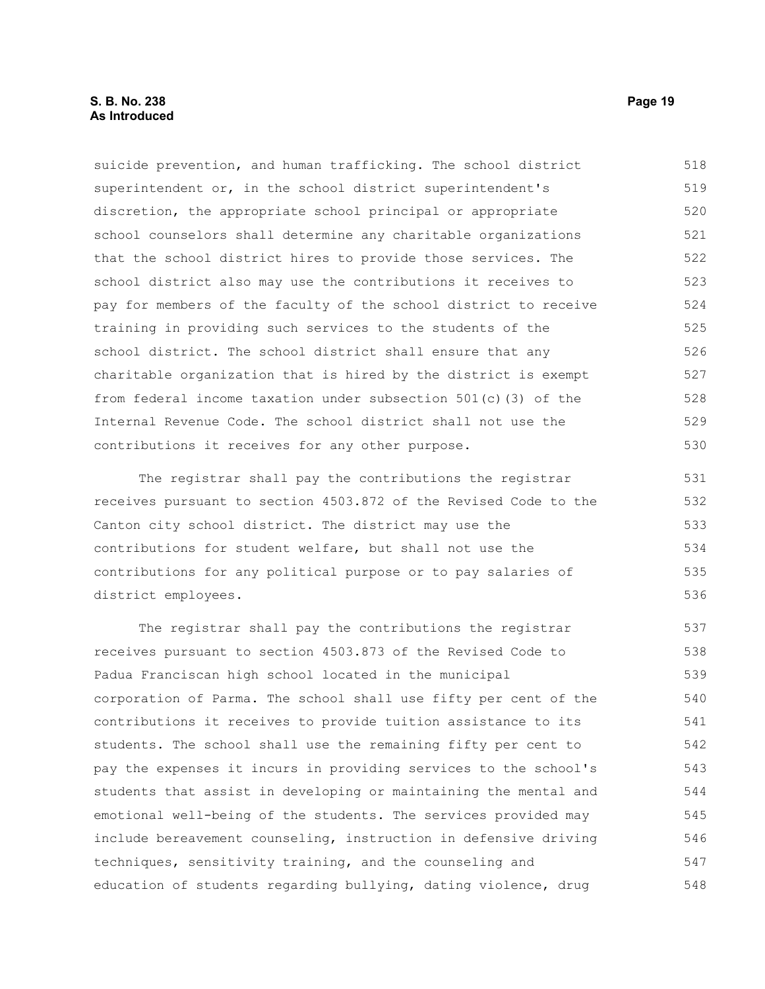#### **S. B. No. 238 Page 19 As Introduced**

suicide prevention, and human trafficking. The school district superintendent or, in the school district superintendent's discretion, the appropriate school principal or appropriate school counselors shall determine any charitable organizations that the school district hires to provide those services. The school district also may use the contributions it receives to pay for members of the faculty of the school district to receive training in providing such services to the students of the school district. The school district shall ensure that any charitable organization that is hired by the district is exempt from federal income taxation under subsection 501(c)(3) of the Internal Revenue Code. The school district shall not use the contributions it receives for any other purpose. 518 519 520 521 522 523 524 525 526 527 528 529 530

The registrar shall pay the contributions the registrar receives pursuant to section 4503.872 of the Revised Code to the Canton city school district. The district may use the contributions for student welfare, but shall not use the contributions for any political purpose or to pay salaries of district employees. 531 532 533 534 535 536

The registrar shall pay the contributions the registrar receives pursuant to section 4503.873 of the Revised Code to Padua Franciscan high school located in the municipal corporation of Parma. The school shall use fifty per cent of the contributions it receives to provide tuition assistance to its students. The school shall use the remaining fifty per cent to pay the expenses it incurs in providing services to the school's students that assist in developing or maintaining the mental and emotional well-being of the students. The services provided may include bereavement counseling, instruction in defensive driving techniques, sensitivity training, and the counseling and education of students regarding bullying, dating violence, drug 537 538 539 540 541 542 543 544 545 546 547 548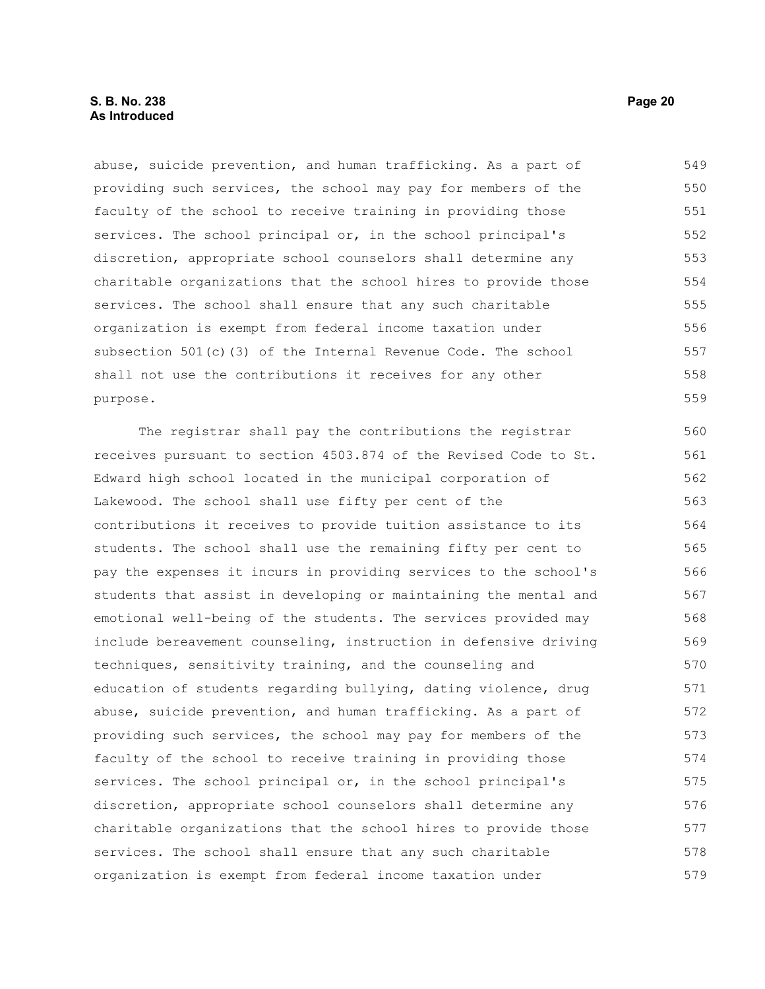#### **S. B. No. 238 Page 20 As Introduced**

abuse, suicide prevention, and human trafficking. As a part of providing such services, the school may pay for members of the faculty of the school to receive training in providing those services. The school principal or, in the school principal's discretion, appropriate school counselors shall determine any charitable organizations that the school hires to provide those services. The school shall ensure that any such charitable organization is exempt from federal income taxation under subsection 501(c)(3) of the Internal Revenue Code. The school shall not use the contributions it receives for any other purpose. 549 550 551 552 553 554 555 556 557 558 559

The registrar shall pay the contributions the registrar receives pursuant to section 4503.874 of the Revised Code to St. Edward high school located in the municipal corporation of Lakewood. The school shall use fifty per cent of the contributions it receives to provide tuition assistance to its students. The school shall use the remaining fifty per cent to pay the expenses it incurs in providing services to the school's students that assist in developing or maintaining the mental and emotional well-being of the students. The services provided may include bereavement counseling, instruction in defensive driving techniques, sensitivity training, and the counseling and education of students regarding bullying, dating violence, drug abuse, suicide prevention, and human trafficking. As a part of providing such services, the school may pay for members of the faculty of the school to receive training in providing those services. The school principal or, in the school principal's discretion, appropriate school counselors shall determine any charitable organizations that the school hires to provide those services. The school shall ensure that any such charitable organization is exempt from federal income taxation under 560 561 562 563 564 565 566 567 568 569 570 571 572 573 574 575 576 577 578 579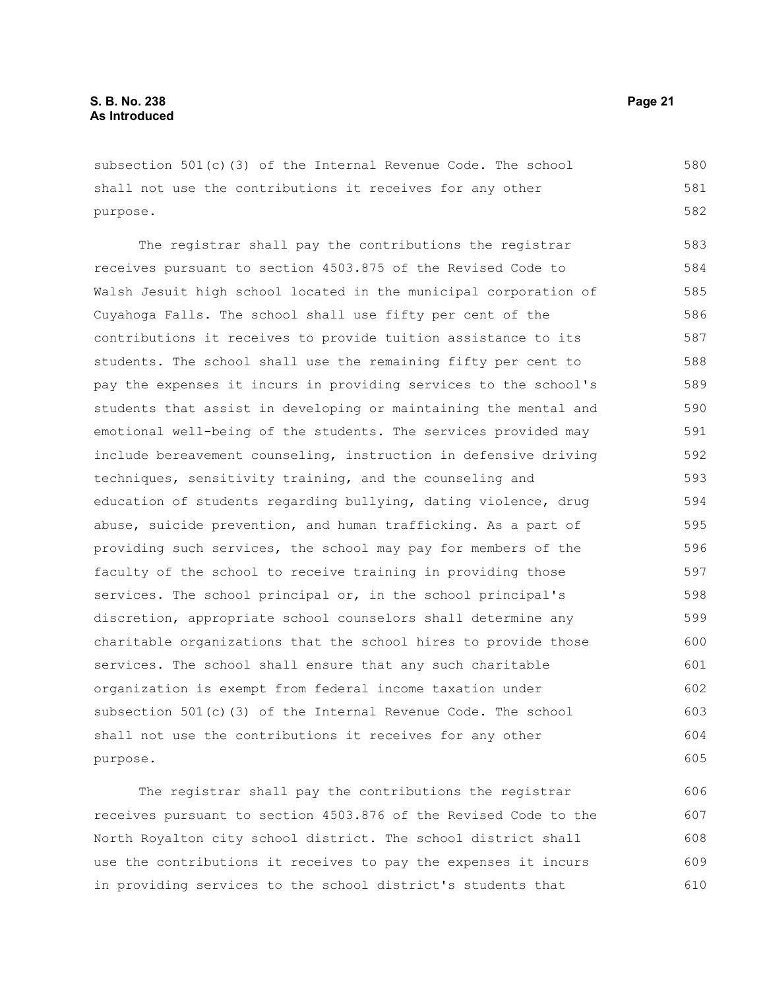subsection 501(c)(3) of the Internal Revenue Code. The school shall not use the contributions it receives for any other purpose.

The registrar shall pay the contributions the registrar receives pursuant to section 4503.875 of the Revised Code to Walsh Jesuit high school located in the municipal corporation of Cuyahoga Falls. The school shall use fifty per cent of the contributions it receives to provide tuition assistance to its students. The school shall use the remaining fifty per cent to pay the expenses it incurs in providing services to the school's students that assist in developing or maintaining the mental and emotional well-being of the students. The services provided may include bereavement counseling, instruction in defensive driving techniques, sensitivity training, and the counseling and education of students regarding bullying, dating violence, drug abuse, suicide prevention, and human trafficking. As a part of providing such services, the school may pay for members of the faculty of the school to receive training in providing those services. The school principal or, in the school principal's discretion, appropriate school counselors shall determine any charitable organizations that the school hires to provide those services. The school shall ensure that any such charitable organization is exempt from federal income taxation under subsection 501(c)(3) of the Internal Revenue Code. The school shall not use the contributions it receives for any other purpose. 583 584 585 586 587 588 589 590 591 592 593 594 595 596 597 598 599 600 601 602 603 604 605

The registrar shall pay the contributions the registrar receives pursuant to section 4503.876 of the Revised Code to the North Royalton city school district. The school district shall use the contributions it receives to pay the expenses it incurs in providing services to the school district's students that 606 607 608 609 610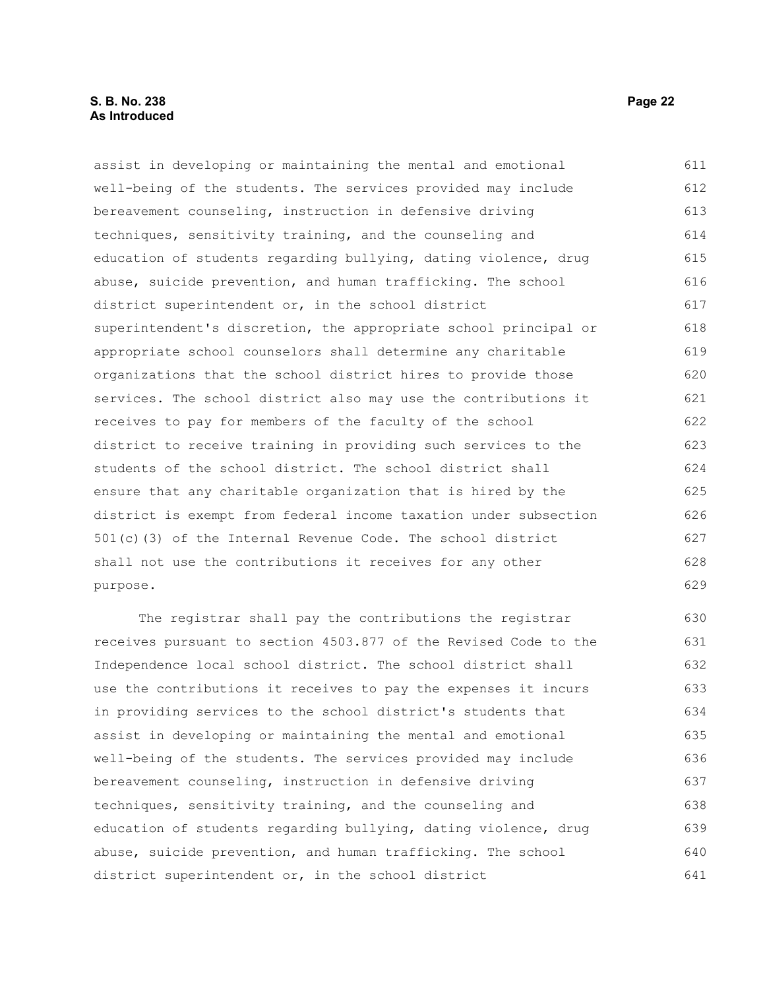#### **S. B. No. 238 Page 22 As Introduced**

assist in developing or maintaining the mental and emotional well-being of the students. The services provided may include bereavement counseling, instruction in defensive driving techniques, sensitivity training, and the counseling and education of students regarding bullying, dating violence, drug abuse, suicide prevention, and human trafficking. The school district superintendent or, in the school district superintendent's discretion, the appropriate school principal or appropriate school counselors shall determine any charitable organizations that the school district hires to provide those services. The school district also may use the contributions it receives to pay for members of the faculty of the school district to receive training in providing such services to the students of the school district. The school district shall ensure that any charitable organization that is hired by the district is exempt from federal income taxation under subsection 501(c)(3) of the Internal Revenue Code. The school district shall not use the contributions it receives for any other purpose. 611 612 613 614 615 616 617 618 619 620 621 622 623 624 625 626 627 628 629

The registrar shall pay the contributions the registrar receives pursuant to section 4503.877 of the Revised Code to the Independence local school district. The school district shall use the contributions it receives to pay the expenses it incurs in providing services to the school district's students that assist in developing or maintaining the mental and emotional well-being of the students. The services provided may include bereavement counseling, instruction in defensive driving techniques, sensitivity training, and the counseling and education of students regarding bullying, dating violence, drug abuse, suicide prevention, and human trafficking. The school district superintendent or, in the school district 630 631 632 633 634 635 636 637 638 639 640 641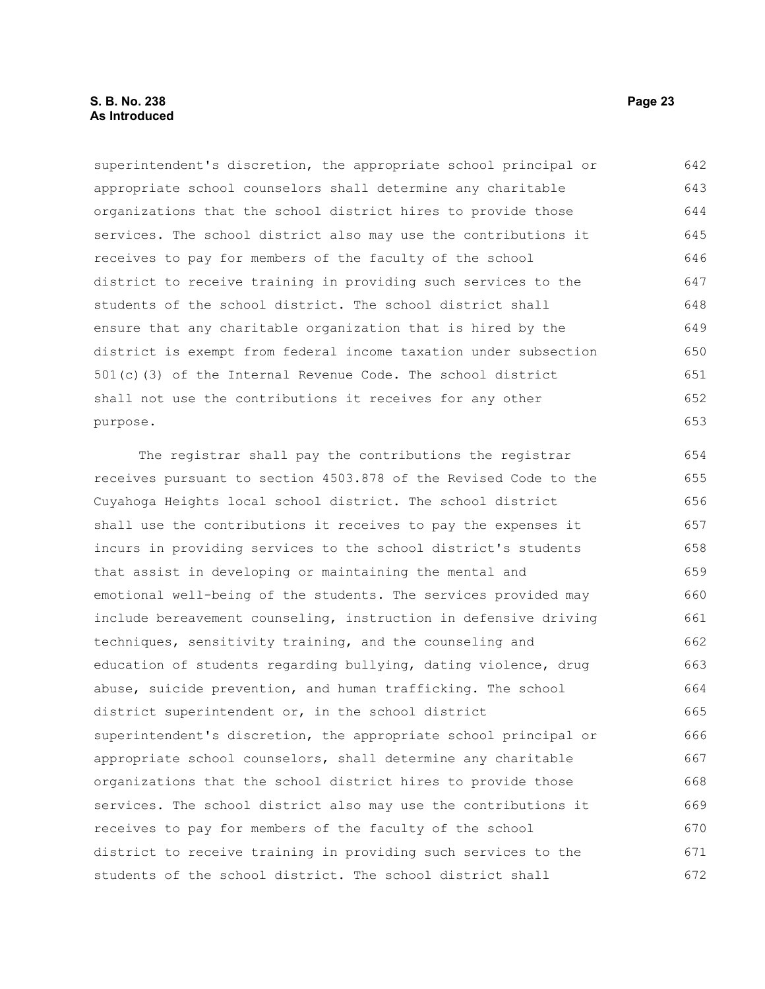#### **S. B. No. 238 Page 23 As Introduced**

superintendent's discretion, the appropriate school principal or appropriate school counselors shall determine any charitable organizations that the school district hires to provide those services. The school district also may use the contributions it receives to pay for members of the faculty of the school district to receive training in providing such services to the students of the school district. The school district shall ensure that any charitable organization that is hired by the district is exempt from federal income taxation under subsection 501(c)(3) of the Internal Revenue Code. The school district shall not use the contributions it receives for any other purpose. 642 643 644 645 646 647 648 649 650 651 652 653

The registrar shall pay the contributions the registrar receives pursuant to section 4503.878 of the Revised Code to the Cuyahoga Heights local school district. The school district shall use the contributions it receives to pay the expenses it incurs in providing services to the school district's students that assist in developing or maintaining the mental and emotional well-being of the students. The services provided may include bereavement counseling, instruction in defensive driving techniques, sensitivity training, and the counseling and education of students regarding bullying, dating violence, drug abuse, suicide prevention, and human trafficking. The school district superintendent or, in the school district superintendent's discretion, the appropriate school principal or appropriate school counselors, shall determine any charitable organizations that the school district hires to provide those services. The school district also may use the contributions it receives to pay for members of the faculty of the school district to receive training in providing such services to the students of the school district. The school district shall 654 655 656 657 658 659 660 661 662 663 664 665 666 667 668 669 670 671 672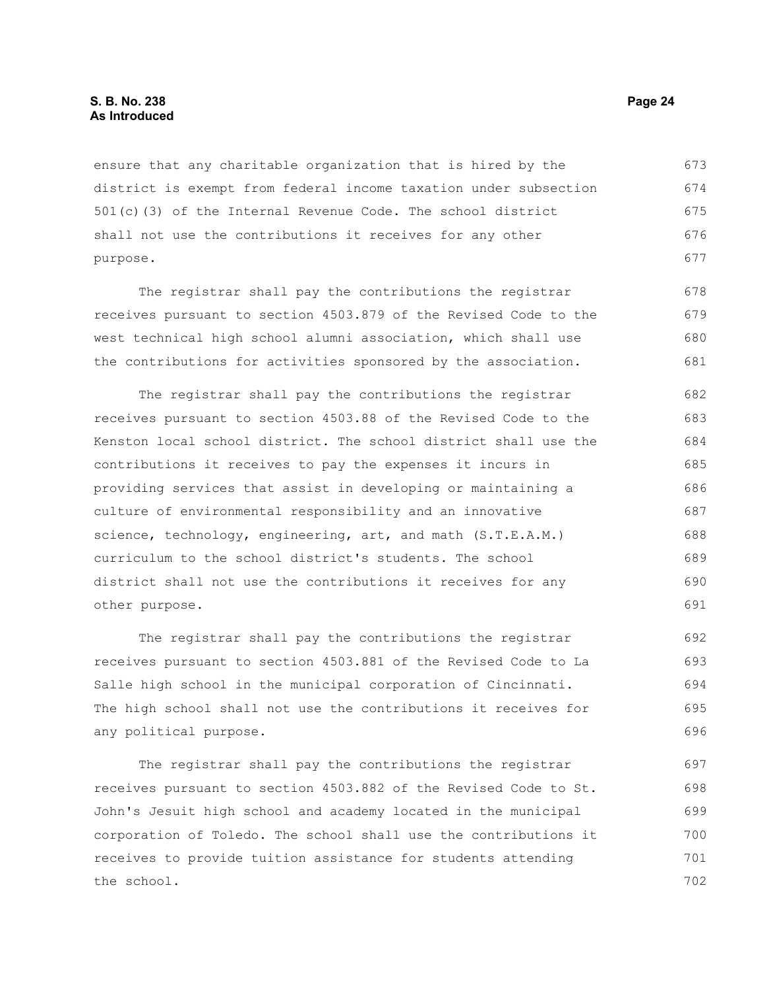ensure that any charitable organization that is hired by the district is exempt from federal income taxation under subsection 501(c)(3) of the Internal Revenue Code. The school district shall not use the contributions it receives for any other purpose. 673 674 675 676 677

The registrar shall pay the contributions the registrar receives pursuant to section 4503.879 of the Revised Code to the west technical high school alumni association, which shall use the contributions for activities sponsored by the association. 678 679 680 681

The registrar shall pay the contributions the registrar receives pursuant to section 4503.88 of the Revised Code to the Kenston local school district. The school district shall use the contributions it receives to pay the expenses it incurs in providing services that assist in developing or maintaining a culture of environmental responsibility and an innovative science, technology, engineering, art, and math (S.T.E.A.M.) curriculum to the school district's students. The school district shall not use the contributions it receives for any other purpose. 682 683 684 685 686 687 688 689 690 691

The registrar shall pay the contributions the registrar receives pursuant to section 4503.881 of the Revised Code to La Salle high school in the municipal corporation of Cincinnati. The high school shall not use the contributions it receives for any political purpose. 692 693 694 695 696

The registrar shall pay the contributions the registrar receives pursuant to section 4503.882 of the Revised Code to St. John's Jesuit high school and academy located in the municipal corporation of Toledo. The school shall use the contributions it receives to provide tuition assistance for students attending the school. 697 698 699 700 701 702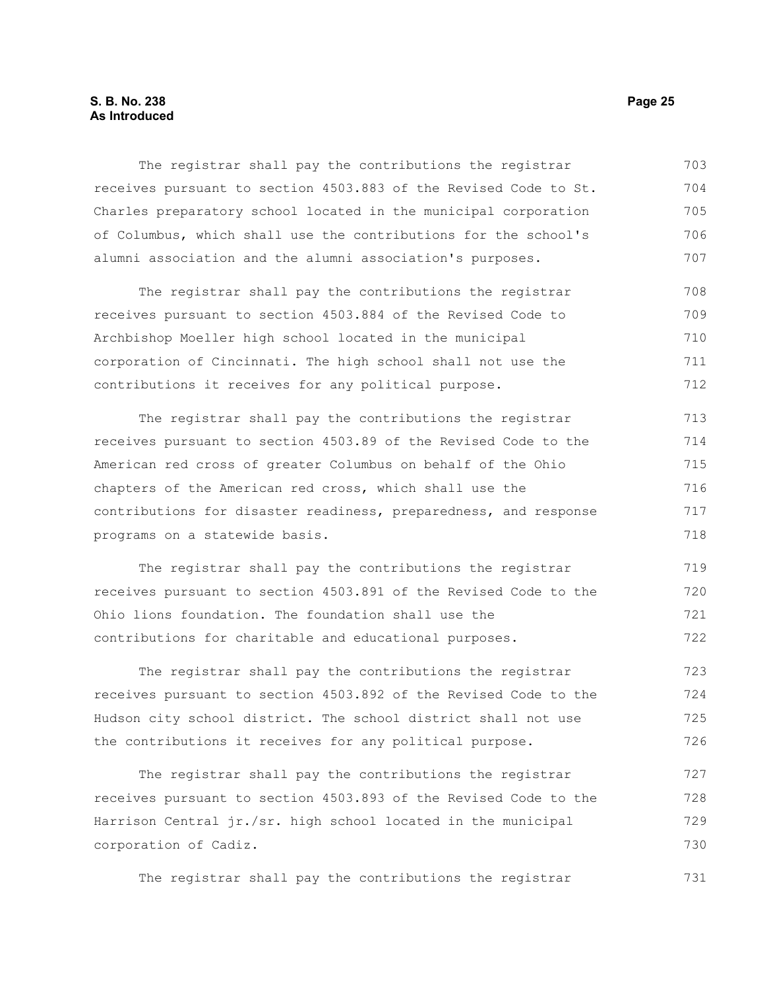#### **S. B. No. 238 Page 25 As Introduced**

The registrar shall pay the contributions the registrar receives pursuant to section 4503.883 of the Revised Code to St. Charles preparatory school located in the municipal corporation of Columbus, which shall use the contributions for the school's alumni association and the alumni association's purposes. 703 704 705 706 707

The registrar shall pay the contributions the registrar receives pursuant to section 4503.884 of the Revised Code to Archbishop Moeller high school located in the municipal corporation of Cincinnati. The high school shall not use the contributions it receives for any political purpose. 708 709 710 711 712

The registrar shall pay the contributions the registrar receives pursuant to section 4503.89 of the Revised Code to the American red cross of greater Columbus on behalf of the Ohio chapters of the American red cross, which shall use the contributions for disaster readiness, preparedness, and response programs on a statewide basis. 713 714 715 716 717 718

The registrar shall pay the contributions the registrar receives pursuant to section 4503.891 of the Revised Code to the Ohio lions foundation. The foundation shall use the contributions for charitable and educational purposes. 719 720 721 722

The registrar shall pay the contributions the registrar receives pursuant to section 4503.892 of the Revised Code to the Hudson city school district. The school district shall not use the contributions it receives for any political purpose. 723 724 725 726

The registrar shall pay the contributions the registrar receives pursuant to section 4503.893 of the Revised Code to the Harrison Central jr./sr. high school located in the municipal corporation of Cadiz. 727 728 729 730

The registrar shall pay the contributions the registrar 731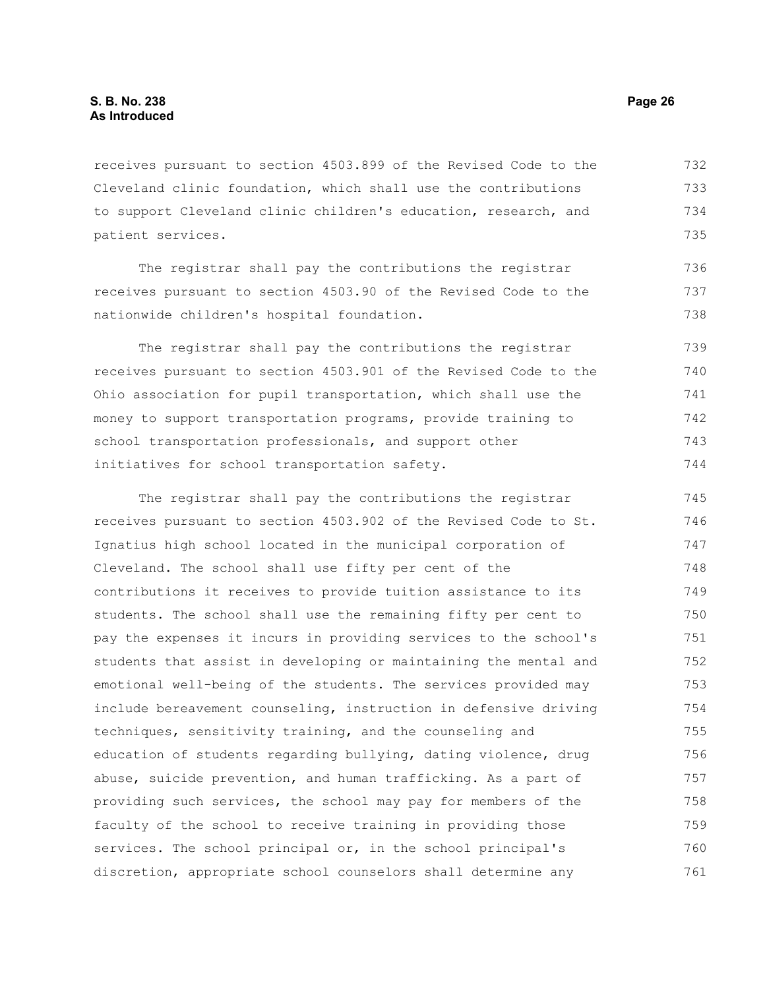receives pursuant to section 4503.899 of the Revised Code to the Cleveland clinic foundation, which shall use the contributions to support Cleveland clinic children's education, research, and patient services. 732 733 734 735

The registrar shall pay the contributions the registrar receives pursuant to section 4503.90 of the Revised Code to the nationwide children's hospital foundation.

The registrar shall pay the contributions the registrar receives pursuant to section 4503.901 of the Revised Code to the Ohio association for pupil transportation, which shall use the money to support transportation programs, provide training to school transportation professionals, and support other initiatives for school transportation safety. 739 740 741 742 743 744

The registrar shall pay the contributions the registrar receives pursuant to section 4503.902 of the Revised Code to St. Ignatius high school located in the municipal corporation of Cleveland. The school shall use fifty per cent of the contributions it receives to provide tuition assistance to its students. The school shall use the remaining fifty per cent to pay the expenses it incurs in providing services to the school's students that assist in developing or maintaining the mental and emotional well-being of the students. The services provided may include bereavement counseling, instruction in defensive driving techniques, sensitivity training, and the counseling and education of students regarding bullying, dating violence, drug abuse, suicide prevention, and human trafficking. As a part of providing such services, the school may pay for members of the faculty of the school to receive training in providing those services. The school principal or, in the school principal's discretion, appropriate school counselors shall determine any 745 746 747 748 749 750 751 752 753 754 755 756 757 758 759 760 761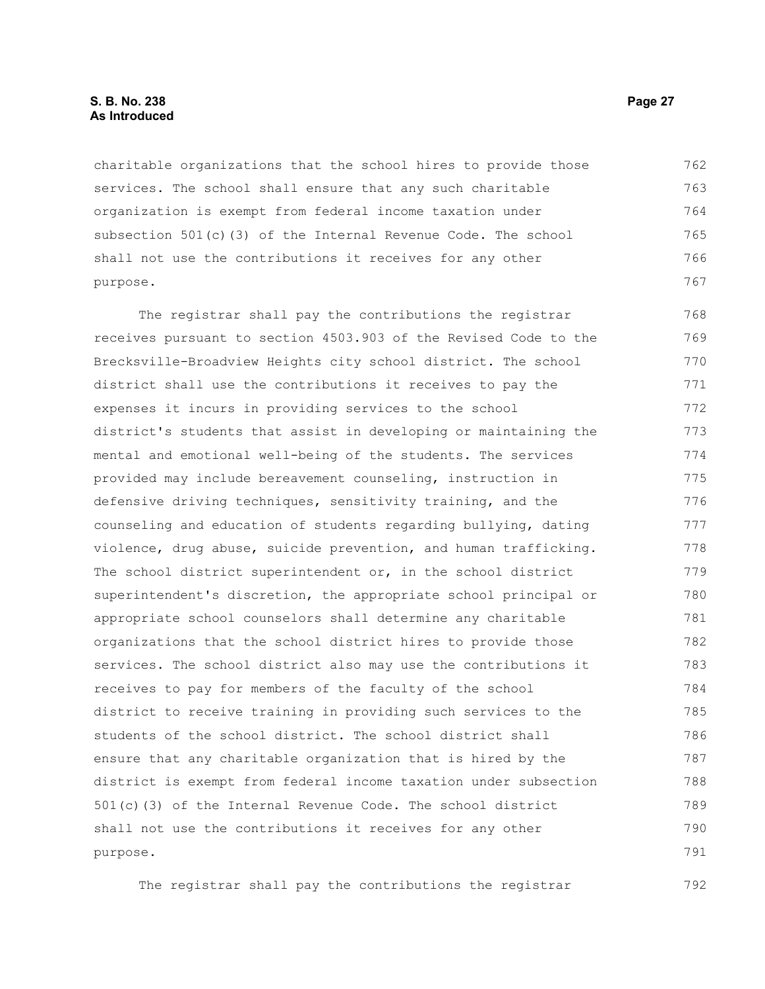charitable organizations that the school hires to provide those services. The school shall ensure that any such charitable organization is exempt from federal income taxation under subsection 501(c)(3) of the Internal Revenue Code. The school shall not use the contributions it receives for any other purpose. 762 763 764 765 766 767

The registrar shall pay the contributions the registrar receives pursuant to section 4503.903 of the Revised Code to the Brecksville-Broadview Heights city school district. The school district shall use the contributions it receives to pay the expenses it incurs in providing services to the school district's students that assist in developing or maintaining the mental and emotional well-being of the students. The services provided may include bereavement counseling, instruction in defensive driving techniques, sensitivity training, and the counseling and education of students regarding bullying, dating violence, drug abuse, suicide prevention, and human trafficking. The school district superintendent or, in the school district superintendent's discretion, the appropriate school principal or appropriate school counselors shall determine any charitable organizations that the school district hires to provide those services. The school district also may use the contributions it receives to pay for members of the faculty of the school district to receive training in providing such services to the students of the school district. The school district shall ensure that any charitable organization that is hired by the district is exempt from federal income taxation under subsection 501(c)(3) of the Internal Revenue Code. The school district shall not use the contributions it receives for any other purpose. 768 769 770 771 772 773 774 775 776 777 778 779 780 781 782 783 784 785 786 787 788 789 790 791

The registrar shall pay the contributions the registrar 792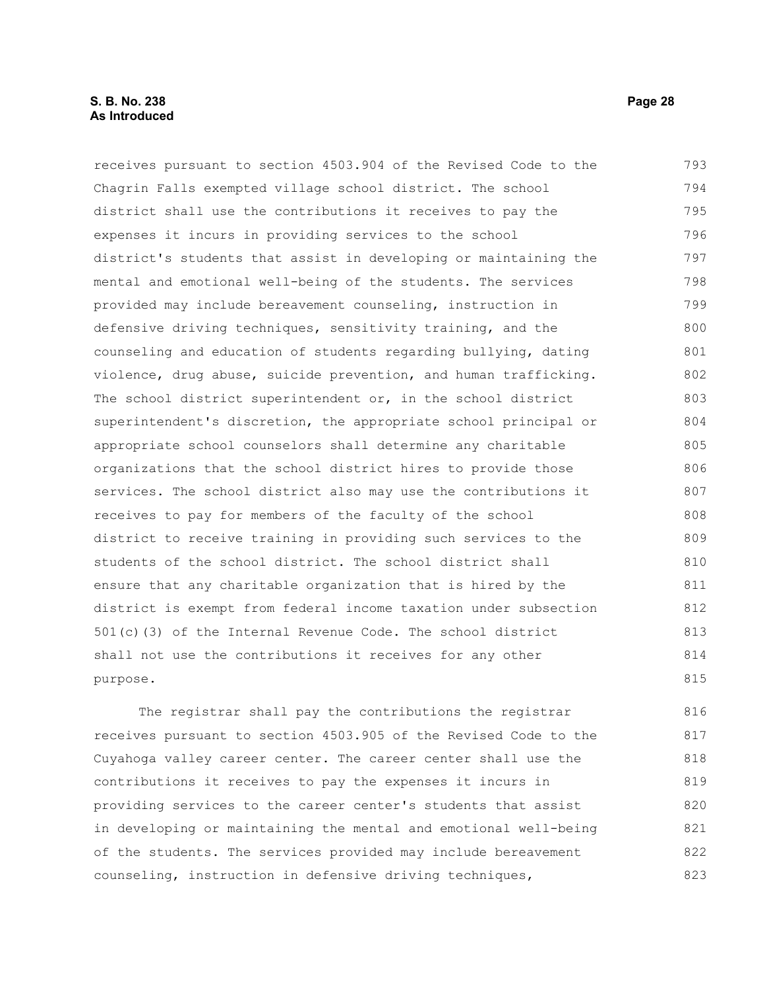#### **S. B. No. 238 Page 28 As Introduced**

receives pursuant to section 4503.904 of the Revised Code to the Chagrin Falls exempted village school district. The school district shall use the contributions it receives to pay the expenses it incurs in providing services to the school district's students that assist in developing or maintaining the mental and emotional well-being of the students. The services provided may include bereavement counseling, instruction in defensive driving techniques, sensitivity training, and the counseling and education of students regarding bullying, dating violence, drug abuse, suicide prevention, and human trafficking. The school district superintendent or, in the school district superintendent's discretion, the appropriate school principal or appropriate school counselors shall determine any charitable organizations that the school district hires to provide those services. The school district also may use the contributions it receives to pay for members of the faculty of the school district to receive training in providing such services to the students of the school district. The school district shall ensure that any charitable organization that is hired by the district is exempt from federal income taxation under subsection 501(c)(3) of the Internal Revenue Code. The school district shall not use the contributions it receives for any other purpose. 793 794 795 796 797 798 799 800 801 802 803 804 805 806 807 808 809 810 811 812 813 814 815

The registrar shall pay the contributions the registrar receives pursuant to section 4503.905 of the Revised Code to the Cuyahoga valley career center. The career center shall use the contributions it receives to pay the expenses it incurs in providing services to the career center's students that assist in developing or maintaining the mental and emotional well-being of the students. The services provided may include bereavement counseling, instruction in defensive driving techniques, 816 817 818 819 820 821 822 823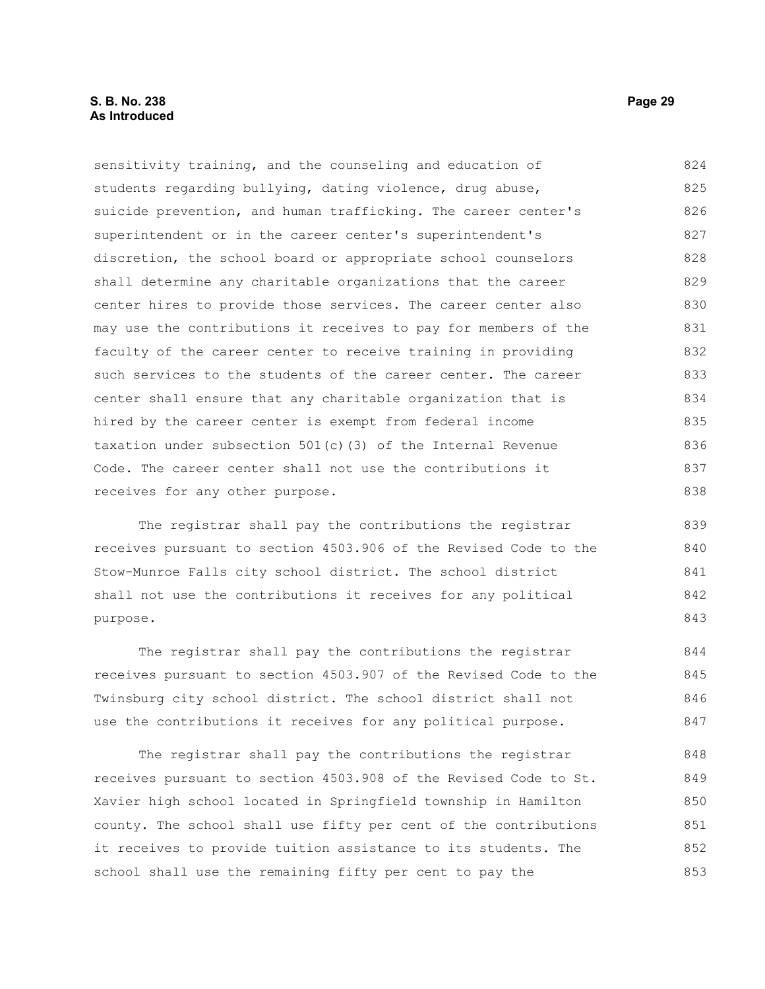#### **S. B. No. 238 Page 29 As Introduced**

sensitivity training, and the counseling and education of students regarding bullying, dating violence, drug abuse, suicide prevention, and human trafficking. The career center's superintendent or in the career center's superintendent's discretion, the school board or appropriate school counselors shall determine any charitable organizations that the career center hires to provide those services. The career center also may use the contributions it receives to pay for members of the faculty of the career center to receive training in providing such services to the students of the career center. The career center shall ensure that any charitable organization that is hired by the career center is exempt from federal income taxation under subsection 501(c)(3) of the Internal Revenue Code. The career center shall not use the contributions it receives for any other purpose. 824 825 826 827 828 829 830 831 832 833 834 835 836 837 838

The registrar shall pay the contributions the registrar receives pursuant to section 4503.906 of the Revised Code to the Stow-Munroe Falls city school district. The school district shall not use the contributions it receives for any political purpose.

The registrar shall pay the contributions the registrar receives pursuant to section 4503.907 of the Revised Code to the Twinsburg city school district. The school district shall not use the contributions it receives for any political purpose. 844 845 846 847

The registrar shall pay the contributions the registrar receives pursuant to section 4503.908 of the Revised Code to St. Xavier high school located in Springfield township in Hamilton county. The school shall use fifty per cent of the contributions it receives to provide tuition assistance to its students. The school shall use the remaining fifty per cent to pay the 848 849 850 851 852 853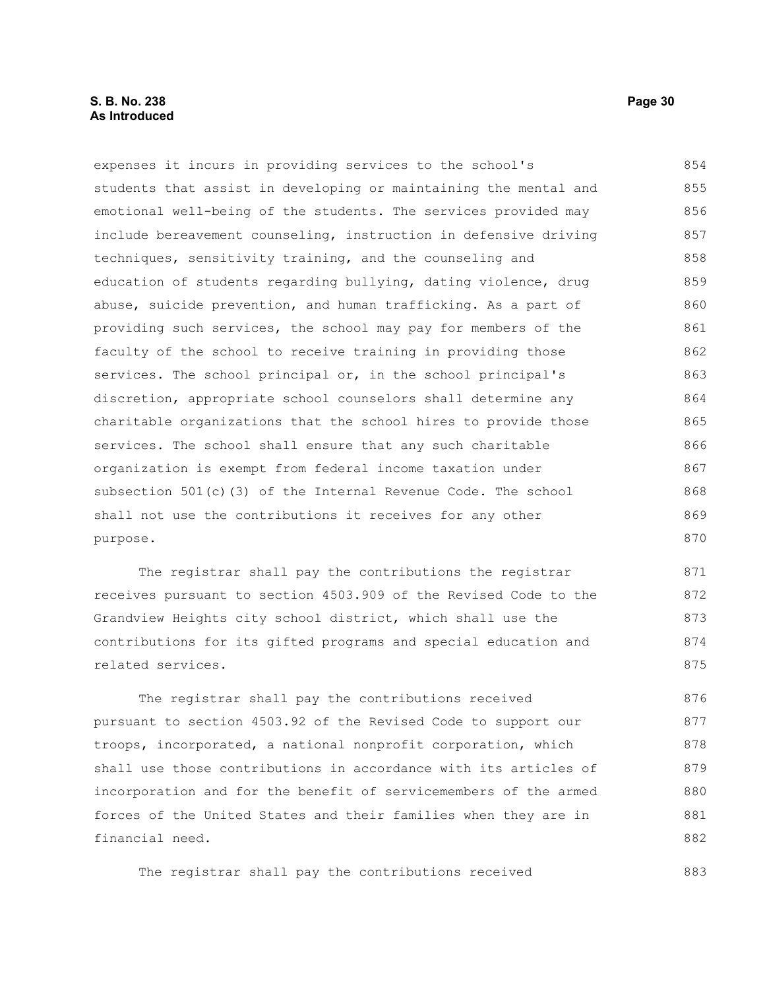#### **S. B. No. 238 Page 30 As Introduced**

expenses it incurs in providing services to the school's students that assist in developing or maintaining the mental and emotional well-being of the students. The services provided may include bereavement counseling, instruction in defensive driving techniques, sensitivity training, and the counseling and education of students regarding bullying, dating violence, drug abuse, suicide prevention, and human trafficking. As a part of providing such services, the school may pay for members of the faculty of the school to receive training in providing those services. The school principal or, in the school principal's discretion, appropriate school counselors shall determine any charitable organizations that the school hires to provide those services. The school shall ensure that any such charitable organization is exempt from federal income taxation under subsection 501(c)(3) of the Internal Revenue Code. The school shall not use the contributions it receives for any other purpose. 854 855 856 857 858 859 860 861 862 863 864 865 866 867 868 869 870

The registrar shall pay the contributions the registrar receives pursuant to section 4503.909 of the Revised Code to the Grandview Heights city school district, which shall use the contributions for its gifted programs and special education and related services. 871 872 873 874 875

The registrar shall pay the contributions received pursuant to section 4503.92 of the Revised Code to support our troops, incorporated, a national nonprofit corporation, which shall use those contributions in accordance with its articles of incorporation and for the benefit of servicemembers of the armed forces of the United States and their families when they are in financial need. 876 877 878 879 880 881 882

The registrar shall pay the contributions received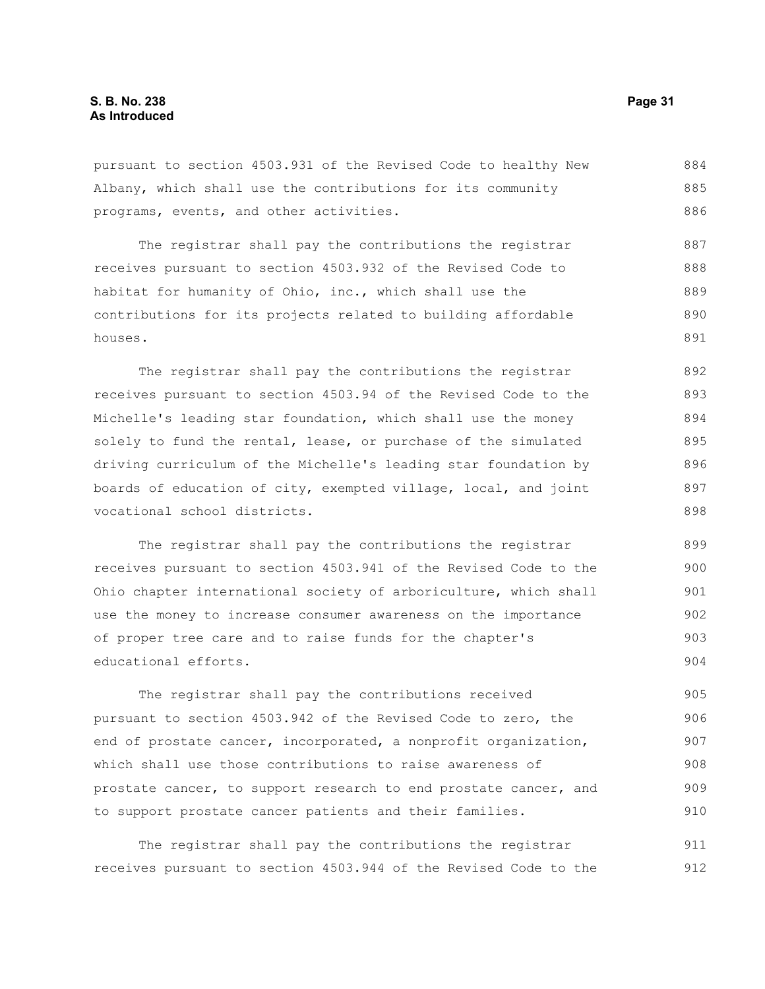pursuant to section 4503.931 of the Revised Code to healthy New Albany, which shall use the contributions for its community programs, events, and other activities. 884 885 886

The registrar shall pay the contributions the registrar receives pursuant to section 4503.932 of the Revised Code to habitat for humanity of Ohio, inc., which shall use the contributions for its projects related to building affordable houses. 887 888 889 890 891

The registrar shall pay the contributions the registrar receives pursuant to section 4503.94 of the Revised Code to the Michelle's leading star foundation, which shall use the money solely to fund the rental, lease, or purchase of the simulated driving curriculum of the Michelle's leading star foundation by boards of education of city, exempted village, local, and joint vocational school districts. 892 893 894 895 896 897 898

The registrar shall pay the contributions the registrar receives pursuant to section 4503.941 of the Revised Code to the Ohio chapter international society of arboriculture, which shall use the money to increase consumer awareness on the importance of proper tree care and to raise funds for the chapter's educational efforts. 899 900 901 902 903 904

The registrar shall pay the contributions received pursuant to section 4503.942 of the Revised Code to zero, the end of prostate cancer, incorporated, a nonprofit organization, which shall use those contributions to raise awareness of prostate cancer, to support research to end prostate cancer, and to support prostate cancer patients and their families. 905 906 907 908 909 910

The registrar shall pay the contributions the registrar receives pursuant to section 4503.944 of the Revised Code to the 911 912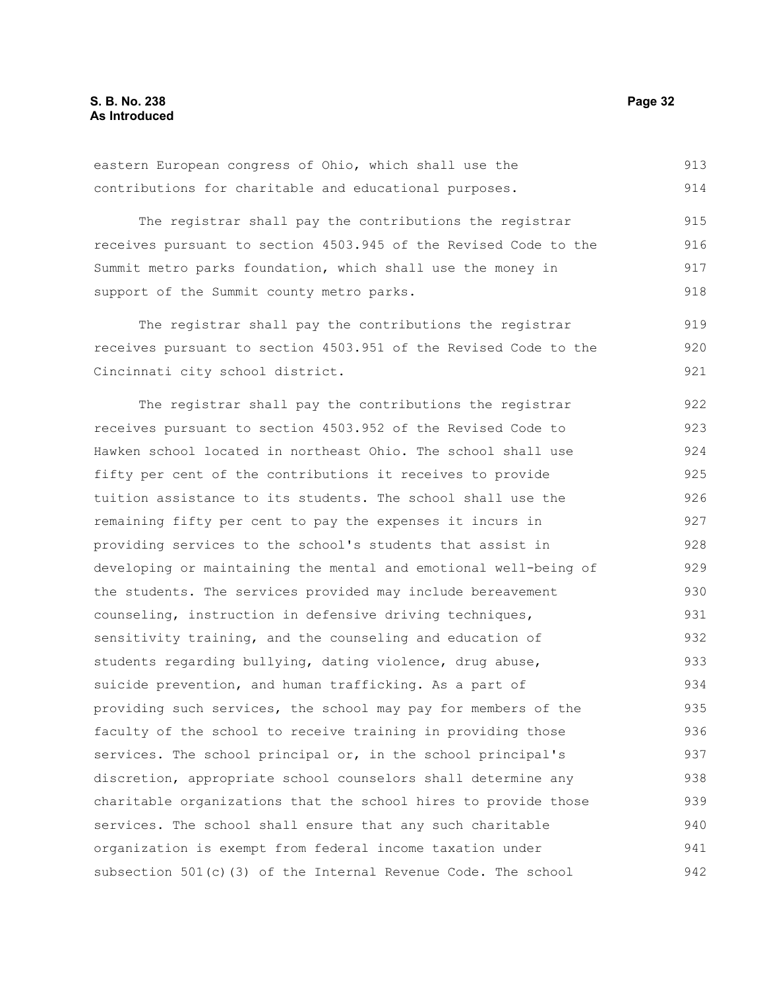The registrar shall pay the contributions the registrar receives pursuant to section 4503.945 of the Revised Code to the Summit metro parks foundation, which shall use the money in support of the Summit county metro parks. 915 916 917 918

The registrar shall pay the contributions the registrar receives pursuant to section 4503.951 of the Revised Code to the Cincinnati city school district. 919 920 921

The registrar shall pay the contributions the registrar receives pursuant to section 4503.952 of the Revised Code to Hawken school located in northeast Ohio. The school shall use fifty per cent of the contributions it receives to provide tuition assistance to its students. The school shall use the remaining fifty per cent to pay the expenses it incurs in providing services to the school's students that assist in developing or maintaining the mental and emotional well-being of the students. The services provided may include bereavement counseling, instruction in defensive driving techniques, sensitivity training, and the counseling and education of students regarding bullying, dating violence, drug abuse, suicide prevention, and human trafficking. As a part of providing such services, the school may pay for members of the faculty of the school to receive training in providing those services. The school principal or, in the school principal's discretion, appropriate school counselors shall determine any charitable organizations that the school hires to provide those services. The school shall ensure that any such charitable organization is exempt from federal income taxation under subsection 501(c)(3) of the Internal Revenue Code. The school 922 923 924 925 926 927 928 929 930 931 932 933 934 935 936 937 938 939 940 941 942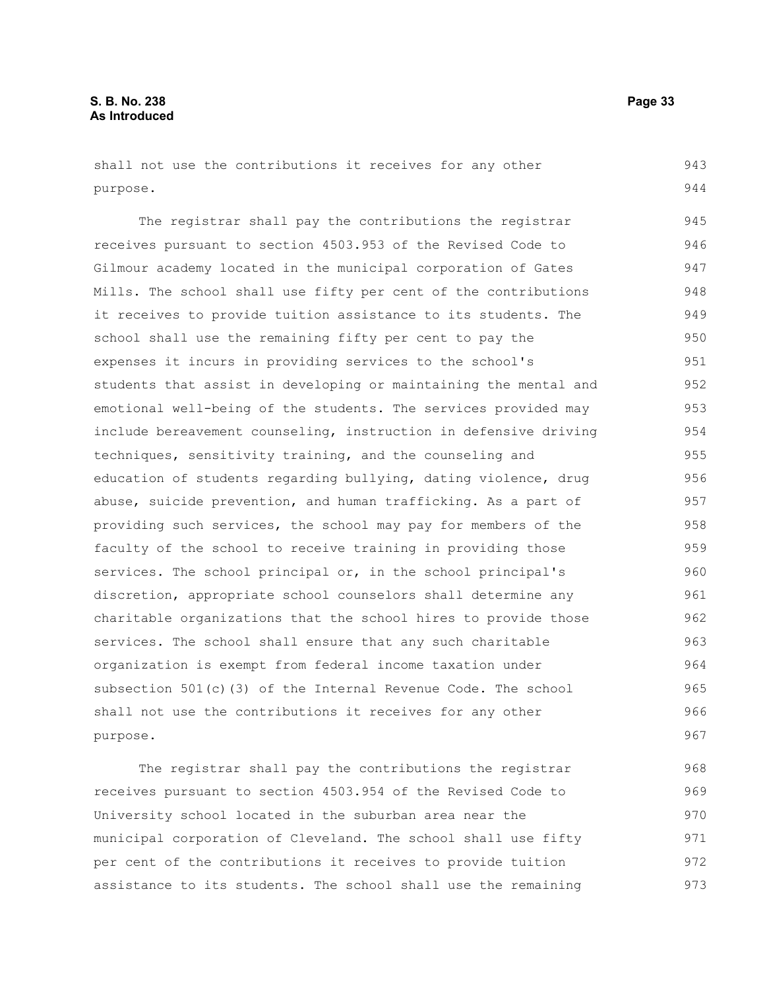shall not use the contributions it receives for any other purpose. 943 944

The registrar shall pay the contributions the registrar receives pursuant to section 4503.953 of the Revised Code to Gilmour academy located in the municipal corporation of Gates Mills. The school shall use fifty per cent of the contributions it receives to provide tuition assistance to its students. The school shall use the remaining fifty per cent to pay the expenses it incurs in providing services to the school's students that assist in developing or maintaining the mental and emotional well-being of the students. The services provided may include bereavement counseling, instruction in defensive driving techniques, sensitivity training, and the counseling and education of students regarding bullying, dating violence, drug abuse, suicide prevention, and human trafficking. As a part of providing such services, the school may pay for members of the faculty of the school to receive training in providing those services. The school principal or, in the school principal's discretion, appropriate school counselors shall determine any charitable organizations that the school hires to provide those services. The school shall ensure that any such charitable organization is exempt from federal income taxation under subsection 501(c)(3) of the Internal Revenue Code. The school shall not use the contributions it receives for any other purpose. 945 946 947 948 949 950 951 952 953 954 955 956 957 958 959 960 961 962 963 964 965 966 967

The registrar shall pay the contributions the registrar receives pursuant to section 4503.954 of the Revised Code to University school located in the suburban area near the municipal corporation of Cleveland. The school shall use fifty per cent of the contributions it receives to provide tuition assistance to its students. The school shall use the remaining 968 969 970 971 972 973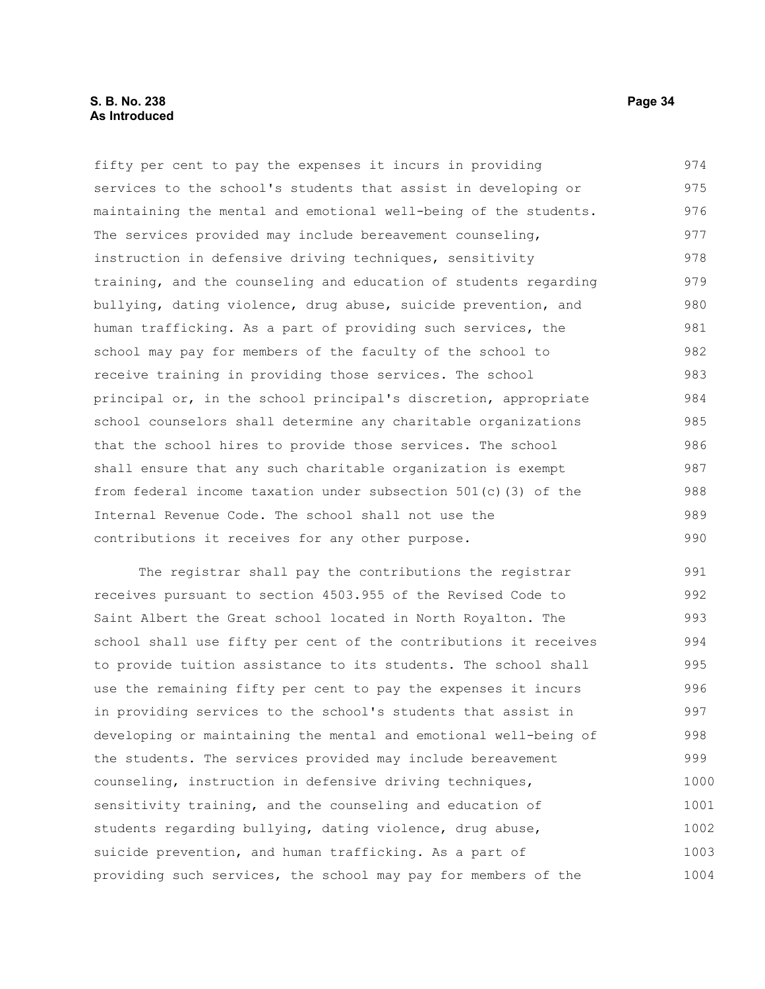#### **S. B. No. 238 Page 34 As Introduced**

fifty per cent to pay the expenses it incurs in providing services to the school's students that assist in developing or maintaining the mental and emotional well-being of the students. The services provided may include bereavement counseling, instruction in defensive driving techniques, sensitivity training, and the counseling and education of students regarding bullying, dating violence, drug abuse, suicide prevention, and human trafficking. As a part of providing such services, the school may pay for members of the faculty of the school to receive training in providing those services. The school principal or, in the school principal's discretion, appropriate school counselors shall determine any charitable organizations that the school hires to provide those services. The school shall ensure that any such charitable organization is exempt from federal income taxation under subsection 501(c)(3) of the Internal Revenue Code. The school shall not use the contributions it receives for any other purpose. 974 975 976 977 978 979 980 981 982 983 984 985 986 987 988 989 990

The registrar shall pay the contributions the registrar receives pursuant to section 4503.955 of the Revised Code to Saint Albert the Great school located in North Royalton. The school shall use fifty per cent of the contributions it receives to provide tuition assistance to its students. The school shall use the remaining fifty per cent to pay the expenses it incurs in providing services to the school's students that assist in developing or maintaining the mental and emotional well-being of the students. The services provided may include bereavement counseling, instruction in defensive driving techniques, sensitivity training, and the counseling and education of students regarding bullying, dating violence, drug abuse, suicide prevention, and human trafficking. As a part of providing such services, the school may pay for members of the 991 992 993 994 995 996 997 998 999 1000 1001 1002 1003 1004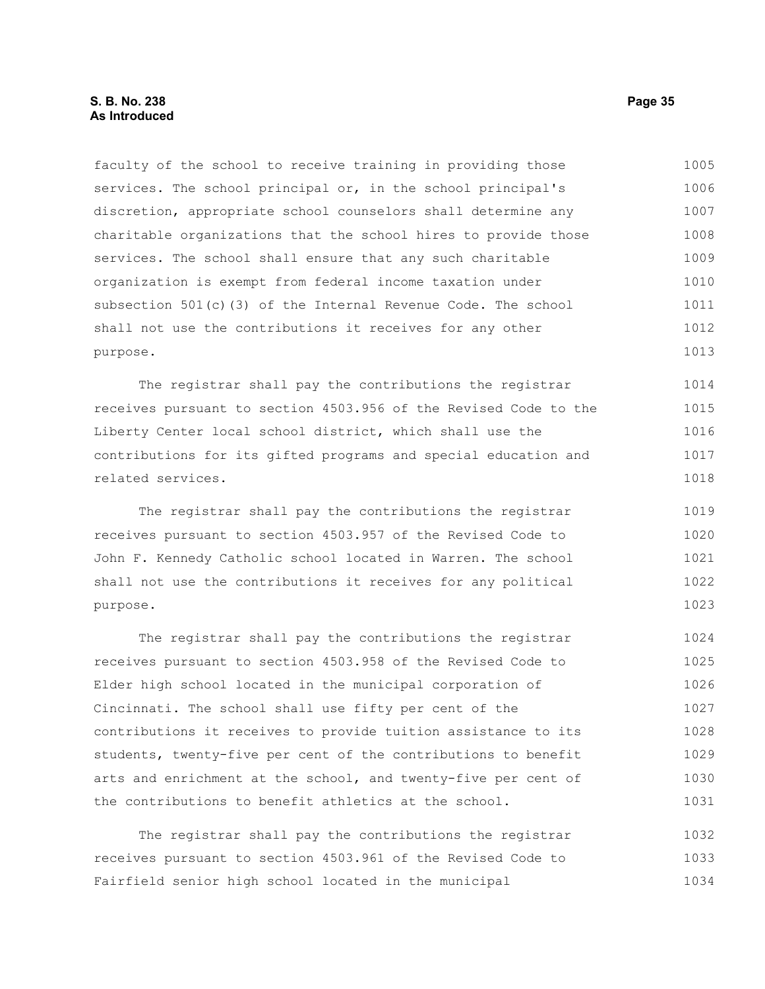#### **S. B. No. 238 Page 35 As Introduced**

faculty of the school to receive training in providing those services. The school principal or, in the school principal's discretion, appropriate school counselors shall determine any charitable organizations that the school hires to provide those services. The school shall ensure that any such charitable organization is exempt from federal income taxation under subsection 501(c)(3) of the Internal Revenue Code. The school shall not use the contributions it receives for any other purpose. 1005 1006 1007 1008 1009 1010 1011 1012 1013

The registrar shall pay the contributions the registrar receives pursuant to section 4503.956 of the Revised Code to the Liberty Center local school district, which shall use the contributions for its gifted programs and special education and related services. 1014 1015 1016 1017 1018

The registrar shall pay the contributions the registrar receives pursuant to section 4503.957 of the Revised Code to John F. Kennedy Catholic school located in Warren. The school shall not use the contributions it receives for any political purpose. 1019 1020 1021 1022 1023

The registrar shall pay the contributions the registrar receives pursuant to section 4503.958 of the Revised Code to Elder high school located in the municipal corporation of Cincinnati. The school shall use fifty per cent of the contributions it receives to provide tuition assistance to its students, twenty-five per cent of the contributions to benefit arts and enrichment at the school, and twenty-five per cent of the contributions to benefit athletics at the school. 1024 1025 1026 1027 1028 1029 1030 1031

The registrar shall pay the contributions the registrar receives pursuant to section 4503.961 of the Revised Code to Fairfield senior high school located in the municipal 1032 1033 1034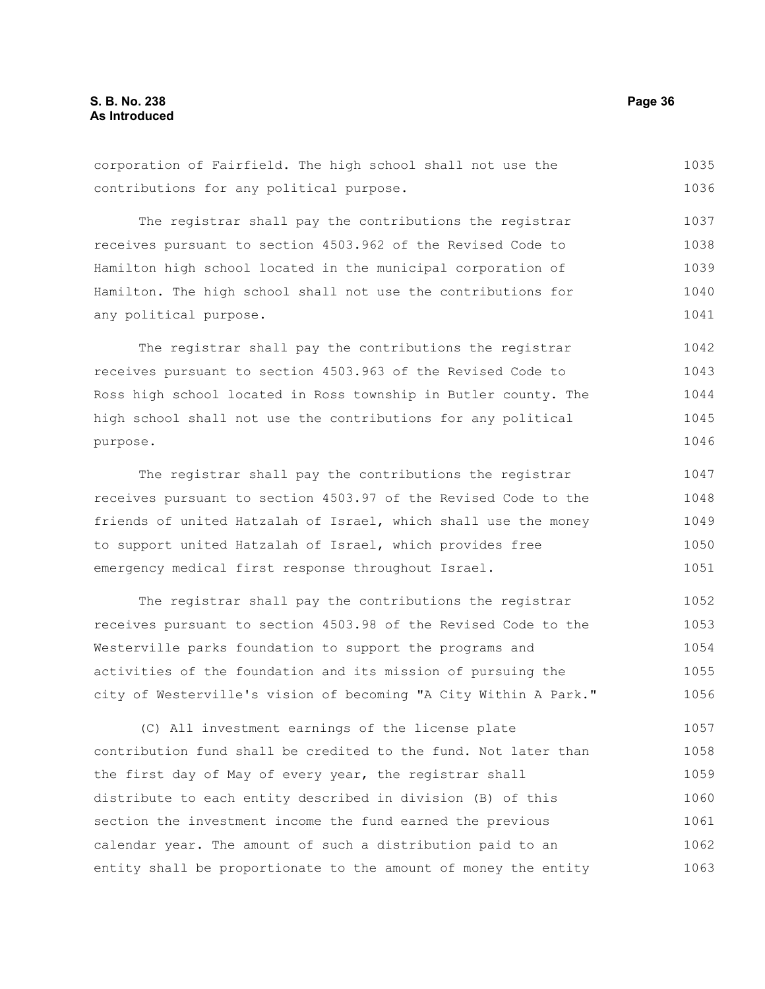corporation of Fairfield. The high school shall not use the contributions for any political purpose. 1035 1036

The registrar shall pay the contributions the registrar receives pursuant to section 4503.962 of the Revised Code to Hamilton high school located in the municipal corporation of Hamilton. The high school shall not use the contributions for any political purpose. 1037 1038 1039 1040 1041

The registrar shall pay the contributions the registrar receives pursuant to section 4503.963 of the Revised Code to Ross high school located in Ross township in Butler county. The high school shall not use the contributions for any political purpose. 1042 1043 1044 1045 1046

The registrar shall pay the contributions the registrar receives pursuant to section 4503.97 of the Revised Code to the friends of united Hatzalah of Israel, which shall use the money to support united Hatzalah of Israel, which provides free emergency medical first response throughout Israel. 1047 1048 1049 1050 1051

The registrar shall pay the contributions the registrar receives pursuant to section 4503.98 of the Revised Code to the Westerville parks foundation to support the programs and activities of the foundation and its mission of pursuing the city of Westerville's vision of becoming "A City Within A Park." 1052 1053 1054 1055 1056

(C) All investment earnings of the license plate contribution fund shall be credited to the fund. Not later than the first day of May of every year, the registrar shall distribute to each entity described in division (B) of this section the investment income the fund earned the previous calendar year. The amount of such a distribution paid to an entity shall be proportionate to the amount of money the entity 1057 1058 1059 1060 1061 1062 1063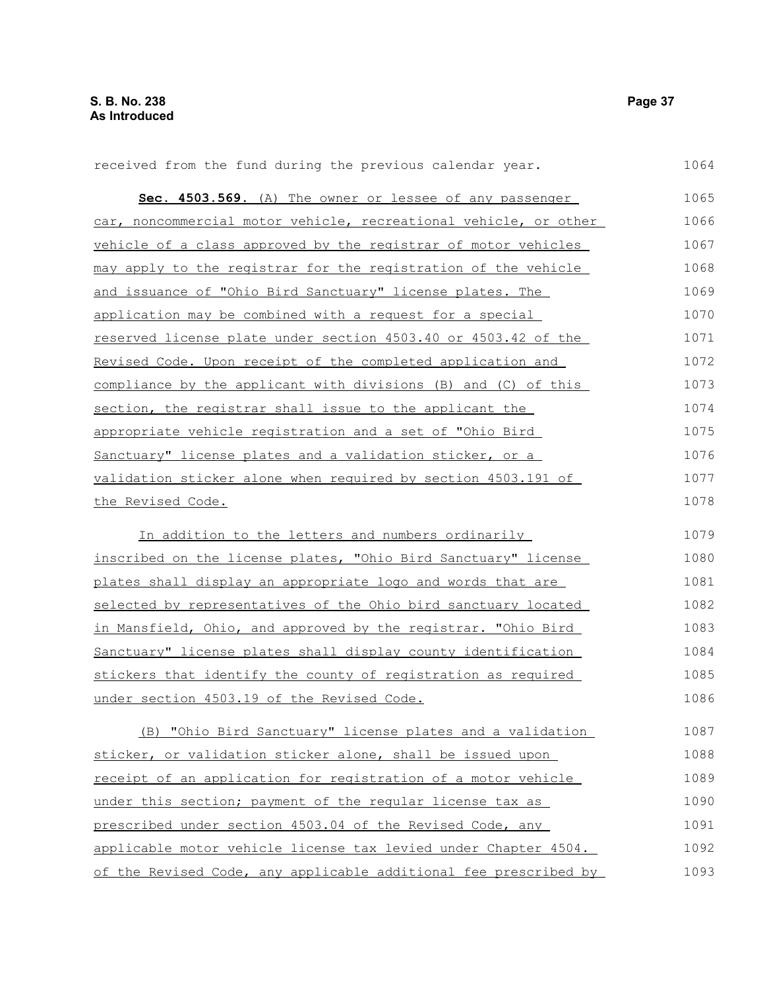**Sec. 4503.569.** (A) The owner or lessee of any passenger car, noncommercial motor vehicle, recreational vehicle, or other vehicle of a class approved by the registrar of motor vehicles may apply to the registrar for the registration of the vehicle and issuance of "Ohio Bird Sanctuary" license plates. The application may be combined with a request for a special reserved license plate under section 4503.40 or 4503.42 of the Revised Code. Upon receipt of the completed application and compliance by the applicant with divisions (B) and (C) of this section, the registrar shall issue to the applicant the appropriate vehicle registration and a set of "Ohio Bird Sanctuary" license plates and a validation sticker, or a validation sticker alone when required by section 4503.191 of the Revised Code. In addition to the letters and numbers ordinarily inscribed on the license plates, "Ohio Bird Sanctuary" license plates shall display an appropriate logo and words that are selected by representatives of the Ohio bird sanctuary located in Mansfield, Ohio, and approved by the registrar. "Ohio Bird Sanctuary" license plates shall display county identification stickers that identify the county of registration as required under section 4503.19 of the Revised Code. 1065 1066 1067 1068 1069 1070 1071 1072 1073 1074 1075 1076 1077 1078 1079 1080 1081 1082 1083 1084 1085 1086

received from the fund during the previous calendar year.

(B) "Ohio Bird Sanctuary" license plates and a validation sticker, or validation sticker alone, shall be issued upon receipt of an application for registration of a motor vehicle under this section; payment of the regular license tax as prescribed under section 4503.04 of the Revised Code, any applicable motor vehicle license tax levied under Chapter 4504. of the Revised Code, any applicable additional fee prescribed by 1087 1088 1089 1090 1091 1092 1093